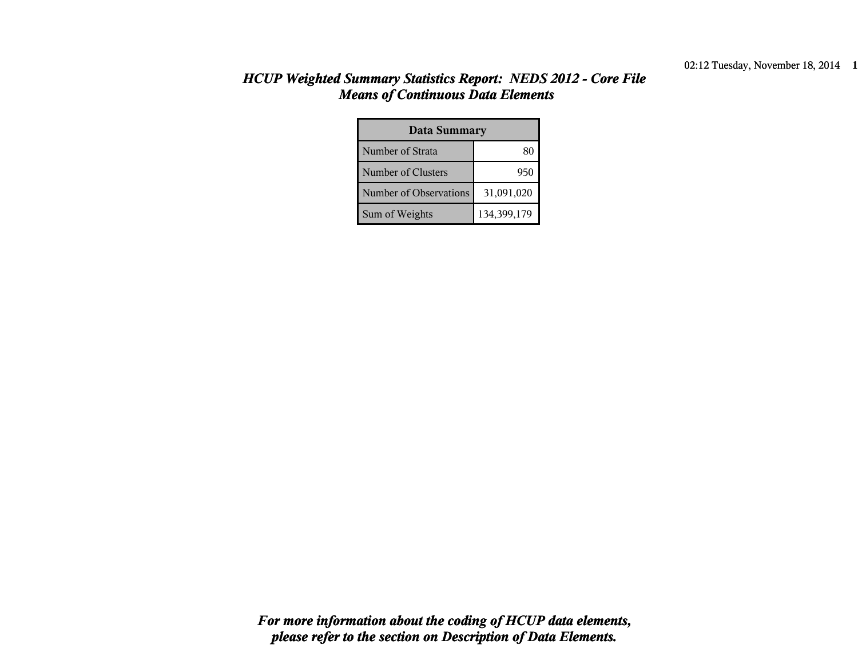| <b>Data Summary</b>    |             |  |  |  |
|------------------------|-------------|--|--|--|
| Number of Strata       |             |  |  |  |
| Number of Clusters     | 950         |  |  |  |
| Number of Observations | 31,091,020  |  |  |  |
| Sum of Weights         | 134,399,179 |  |  |  |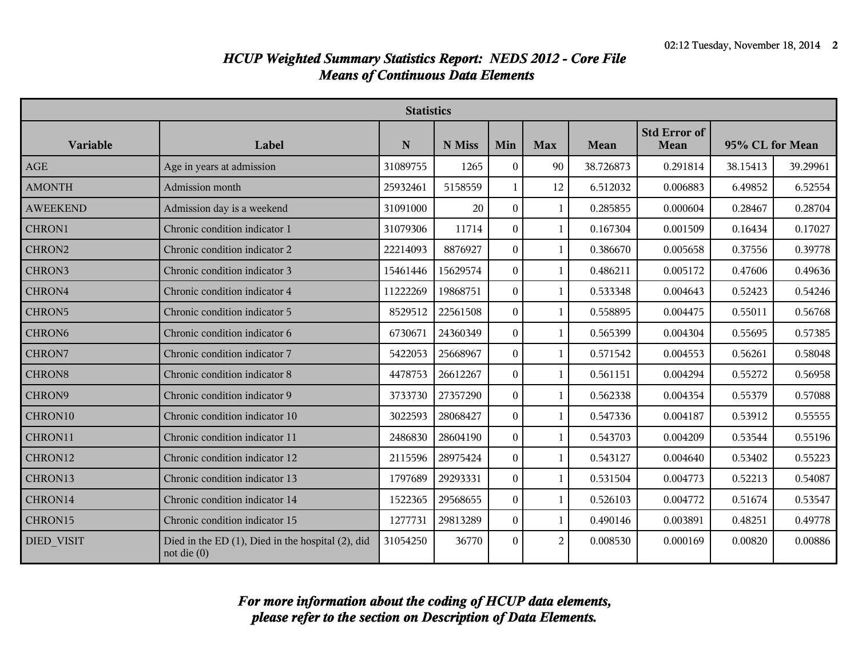|                    | <b>Statistics</b>                                                        |          |          |                  |                |           |                             |                 |          |
|--------------------|--------------------------------------------------------------------------|----------|----------|------------------|----------------|-----------|-----------------------------|-----------------|----------|
| Variable           | Label                                                                    | N        | N Miss   | Min              | <b>Max</b>     | Mean      | <b>Std Error of</b><br>Mean | 95% CL for Mean |          |
| AGE                | Age in years at admission                                                | 31089755 | 1265     | $\mathbf{0}$     | 90             | 38.726873 | 0.291814                    | 38.15413        | 39.29961 |
| <b>AMONTH</b>      | Admission month                                                          | 25932461 | 5158559  | 1                | 12             | 6.512032  | 0.006883                    | 6.49852         | 6.52554  |
| <b>AWEEKEND</b>    | Admission day is a weekend                                               | 31091000 | 20       | $\boldsymbol{0}$ | $\mathbf{1}$   | 0.285855  | 0.000604                    | 0.28467         | 0.28704  |
| CHRON1             | Chronic condition indicator 1                                            | 31079306 | 11714    | $\theta$         | $\mathbf{1}$   | 0.167304  | 0.001509                    | 0.16434         | 0.17027  |
| CHRON2             | Chronic condition indicator 2                                            | 22214093 | 8876927  | $\boldsymbol{0}$ | $\mathbf{1}$   | 0.386670  | 0.005658                    | 0.37556         | 0.39778  |
| CHRON3             | Chronic condition indicator 3                                            | 15461446 | 15629574 | $\boldsymbol{0}$ | $\mathbf{1}$   | 0.486211  | 0.005172                    | 0.47606         | 0.49636  |
| CHRON4             | Chronic condition indicator 4                                            | 11222269 | 19868751 | $\theta$         | $\mathbf{1}$   | 0.533348  | 0.004643                    | 0.52423         | 0.54246  |
| CHRON5             | Chronic condition indicator 5                                            | 8529512  | 22561508 | $\boldsymbol{0}$ | $\mathbf{1}$   | 0.558895  | 0.004475                    | 0.55011         | 0.56768  |
| CHRON <sub>6</sub> | Chronic condition indicator 6                                            | 6730671  | 24360349 | $\mathbf{0}$     | $\mathbf{1}$   | 0.565399  | 0.004304                    | 0.55695         | 0.57385  |
| CHRON7             | Chronic condition indicator 7                                            | 5422053  | 25668967 | $\theta$         | $\mathbf{1}$   | 0.571542  | 0.004553                    | 0.56261         | 0.58048  |
| CHRON <sub>8</sub> | Chronic condition indicator 8                                            | 4478753  | 26612267 | $\theta$         | 1              | 0.561151  | 0.004294                    | 0.55272         | 0.56958  |
| CHRON9             | Chronic condition indicator 9                                            | 3733730  | 27357290 | $\bf{0}$         | $\mathbf{1}$   | 0.562338  | 0.004354                    | 0.55379         | 0.57088  |
| CHRON10            | Chronic condition indicator 10                                           | 3022593  | 28068427 | $\theta$         | $\mathbf{1}$   | 0.547336  | 0.004187                    | 0.53912         | 0.55555  |
| CHRON11            | Chronic condition indicator 11                                           | 2486830  | 28604190 | $\bf{0}$         | $\mathbf{1}$   | 0.543703  | 0.004209                    | 0.53544         | 0.55196  |
| CHRON12            | Chronic condition indicator 12                                           | 2115596  | 28975424 | $\mathbf{0}$     | $\overline{1}$ | 0.543127  | 0.004640                    | 0.53402         | 0.55223  |
| CHRON13            | Chronic condition indicator 13                                           | 1797689  | 29293331 | $\theta$         | 1              | 0.531504  | 0.004773                    | 0.52213         | 0.54087  |
| CHRON14            | Chronic condition indicator 14                                           | 1522365  | 29568655 | $\boldsymbol{0}$ | $\mathbf{1}$   | 0.526103  | 0.004772                    | 0.51674         | 0.53547  |
| CHRON15            | Chronic condition indicator 15                                           | 1277731  | 29813289 | $\mathbf{0}$     | $\mathbf{1}$   | 0.490146  | 0.003891                    | 0.48251         | 0.49778  |
| <b>DIED VISIT</b>  | Died in the ED $(1)$ , Died in the hospital $(2)$ , did<br>not die $(0)$ | 31054250 | 36770    | $\boldsymbol{0}$ | $\overline{c}$ | 0.008530  | 0.000169                    | 0.00820         | 0.00886  |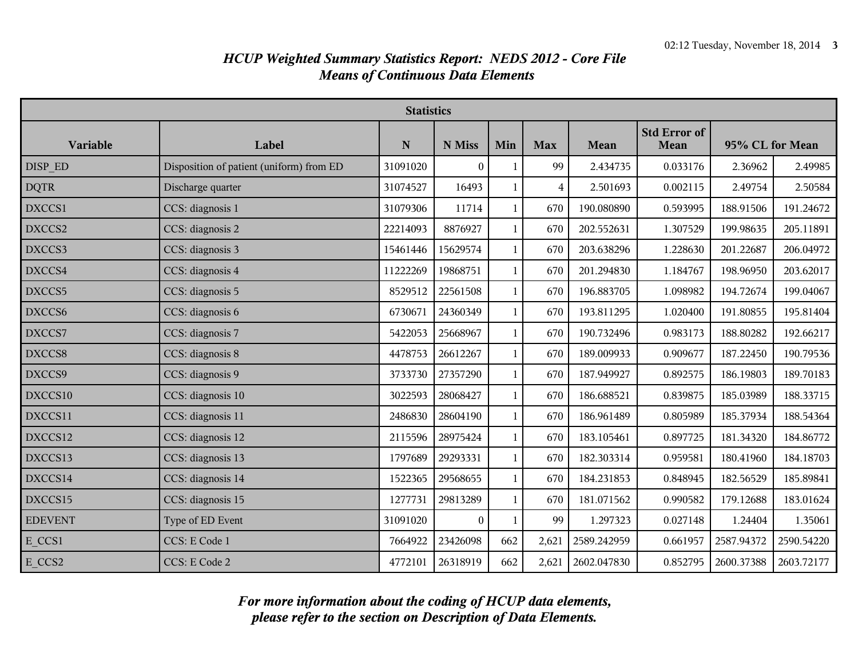| <b>Statistics</b> |                                          |           |                  |              |            |             |                             |                 |            |
|-------------------|------------------------------------------|-----------|------------------|--------------|------------|-------------|-----------------------------|-----------------|------------|
| Variable          | Label                                    | ${\bf N}$ | N Miss           | Min          | <b>Max</b> | Mean        | <b>Std Error of</b><br>Mean | 95% CL for Mean |            |
| DISP ED           | Disposition of patient (uniform) from ED | 31091020  | $\boldsymbol{0}$ | 1            | 99         | 2.434735    | 0.033176                    | 2.36962         | 2.49985    |
| <b>DQTR</b>       | Discharge quarter                        | 31074527  | 16493            | 1            | 4          | 2.501693    | 0.002115                    | 2.49754         | 2.50584    |
| DXCCS1            | CCS: diagnosis 1                         | 31079306  | 11714            | 1            | 670        | 190.080890  | 0.593995                    | 188.91506       | 191.24672  |
| DXCCS2            | CCS: diagnosis 2                         | 22214093  | 8876927          | 1            | 670        | 202.552631  | 1.307529                    | 199.98635       | 205.11891  |
| DXCCS3            | CCS: diagnosis 3                         | 15461446  | 15629574         | 1            | 670        | 203.638296  | 1.228630                    | 201.22687       | 206.04972  |
| DXCCS4            | CCS: diagnosis 4                         | 11222269  | 19868751         | 1            | 670        | 201.294830  | 1.184767                    | 198.96950       | 203.62017  |
| DXCCS5            | CCS: diagnosis 5                         | 8529512   | 22561508         | 1            | 670        | 196.883705  | 1.098982                    | 194.72674       | 199.04067  |
| DXCCS6            | CCS: diagnosis 6                         | 6730671   | 24360349         | $\mathbf{1}$ | 670        | 193.811295  | 1.020400                    | 191.80855       | 195.81404  |
| DXCCS7            | CCS: diagnosis 7                         | 5422053   | 25668967         | 1            | 670        | 190.732496  | 0.983173                    | 188.80282       | 192.66217  |
| DXCCS8            | CCS: diagnosis 8                         | 4478753   | 26612267         | 1            | 670        | 189.009933  | 0.909677                    | 187.22450       | 190.79536  |
| DXCCS9            | CCS: diagnosis 9                         | 3733730   | 27357290         | $\mathbf{1}$ | 670        | 187.949927  | 0.892575                    | 186.19803       | 189.70183  |
| DXCCS10           | CCS: diagnosis 10                        | 3022593   | 28068427         |              | 670        | 186.688521  | 0.839875                    | 185.03989       | 188.33715  |
| DXCCS11           | CCS: diagnosis 11                        | 2486830   | 28604190         | 1            | 670        | 186.961489  | 0.805989                    | 185.37934       | 188.54364  |
| DXCCS12           | CCS: diagnosis 12                        | 2115596   | 28975424         | $\mathbf{1}$ | 670        | 183.105461  | 0.897725                    | 181.34320       | 184.86772  |
| DXCCS13           | CCS: diagnosis 13                        | 1797689   | 29293331         | 1            | 670        | 182.303314  | 0.959581                    | 180.41960       | 184.18703  |
| DXCCS14           | CCS: diagnosis 14                        | 1522365   | 29568655         | $\mathbf{1}$ | 670        | 184.231853  | 0.848945                    | 182.56529       | 185.89841  |
| DXCCS15           | CCS: diagnosis 15                        | 1277731   | 29813289         | 1            | 670        | 181.071562  | 0.990582                    | 179.12688       | 183.01624  |
| <b>EDEVENT</b>    | Type of ED Event                         | 31091020  | $\overline{0}$   | 1            | 99         | 1.297323    | 0.027148                    | 1.24404         | 1.35061    |
| E_CCS1            | CCS: E Code 1                            | 7664922   | 23426098         | 662          | 2,621      | 2589.242959 | 0.661957                    | 2587.94372      | 2590.54220 |
| E_CCS2            | CCS: E Code 2                            | 4772101   | 26318919         | 662          | 2,621      | 2602.047830 | 0.852795                    | 2600.37388      | 2603.72177 |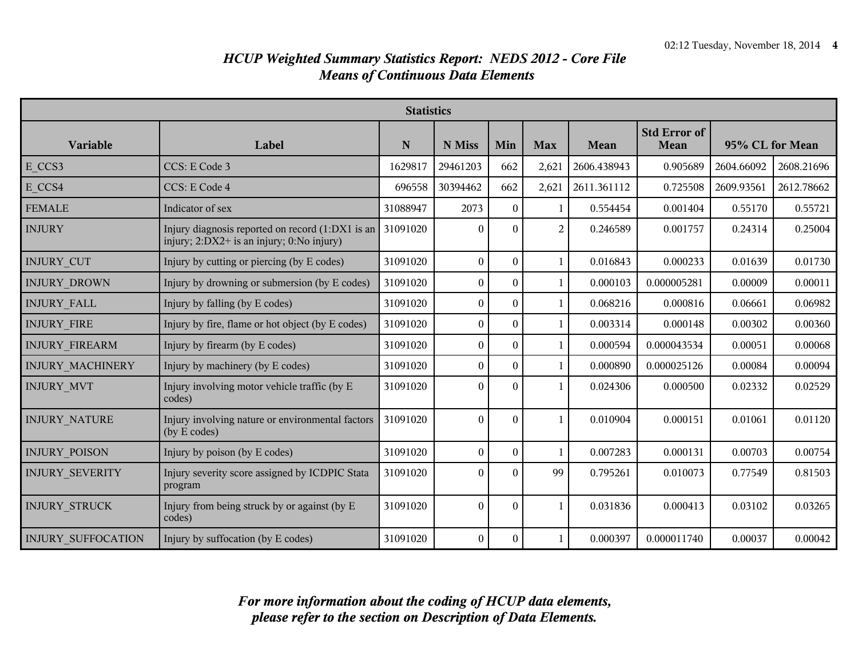|                           | <b>Statistics</b>                                                                                      |             |                  |                  |              |             |                                    |                 |            |
|---------------------------|--------------------------------------------------------------------------------------------------------|-------------|------------------|------------------|--------------|-------------|------------------------------------|-----------------|------------|
| Variable                  | Label                                                                                                  | $\mathbf N$ | N Miss           | Min              | <b>Max</b>   | Mean        | <b>Std Error of</b><br><b>Mean</b> | 95% CL for Mean |            |
| E CCS3                    | CCS: E Code 3                                                                                          | 1629817     | 29461203         | 662              | 2,621        | 2606.438943 | 0.905689                           | 2604.66092      | 2608.21696 |
| E CCS4                    | CCS: E Code 4                                                                                          | 696558      | 30394462         | 662              | 2,621        | 2611.361112 | 0.725508                           | 2609.93561      | 2612.78662 |
| <b>FEMALE</b>             | Indicator of sex                                                                                       | 31088947    | 2073             | $\bf{0}$         | -1           | 0.554454    | 0.001404                           | 0.55170         | 0.55721    |
| <b>INJURY</b>             | Injury diagnosis reported on record (1:DX1 is an 31091020<br>injury; 2:DX2+ is an injury; 0:No injury) |             | $\boldsymbol{0}$ | $\theta$         | 2            | 0.246589    | 0.001757                           | 0.24314         | 0.25004    |
| <b>INJURY CUT</b>         | Injury by cutting or piercing (by E codes)                                                             | 31091020    | $\boldsymbol{0}$ | $\boldsymbol{0}$ | $\mathbf{1}$ | 0.016843    | 0.000233                           | 0.01639         | 0.01730    |
| <b>INJURY DROWN</b>       | Injury by drowning or submersion (by E codes)                                                          | 31091020    | $\boldsymbol{0}$ | $\bf{0}$         | $\mathbf{1}$ | 0.000103    | 0.000005281                        | 0.00009         | 0.00011    |
| <b>INJURY FALL</b>        | Injury by falling (by E codes)                                                                         | 31091020    | $\boldsymbol{0}$ | $\bf{0}$         | $\mathbf{1}$ | 0.068216    | 0.000816                           | 0.06661         | 0.06982    |
| <b>INJURY FIRE</b>        | Injury by fire, flame or hot object (by E codes)                                                       | 31091020    | $\boldsymbol{0}$ | $\bf{0}$         | $\mathbf{1}$ | 0.003314    | 0.000148                           | 0.00302         | 0.00360    |
| <b>INJURY FIREARM</b>     | Injury by firearm (by E codes)                                                                         | 31091020    | $\overline{0}$   | $\bf{0}$         | $\mathbf{1}$ | 0.000594    | 0.000043534                        | 0.00051         | 0.00068    |
| <b>INJURY MACHINERY</b>   | Injury by machinery (by E codes)                                                                       | 31091020    | $\boldsymbol{0}$ | $\boldsymbol{0}$ | 1            | 0.000890    | 0.000025126                        | 0.00084         | 0.00094    |
| <b>INJURY MVT</b>         | Injury involving motor vehicle traffic (by E<br>codes)                                                 | 31091020    | $\theta$         | $\Omega$         | $\mathbf{1}$ | 0.024306    | 0.000500                           | 0.02332         | 0.02529    |
| <b>INJURY NATURE</b>      | Injury involving nature or environmental factors<br>(by E codes)                                       | 31091020    | $\boldsymbol{0}$ | $\theta$         | $\mathbf{1}$ | 0.010904    | 0.000151                           | 0.01061         | 0.01120    |
| <b>INJURY POISON</b>      | Injury by poison (by E codes)                                                                          | 31091020    | $\boldsymbol{0}$ | $\overline{0}$   | $\mathbf{1}$ | 0.007283    | 0.000131                           | 0.00703         | 0.00754    |
| <b>INJURY SEVERITY</b>    | Injury severity score assigned by ICDPIC Stata<br>program                                              | 31091020    | $\boldsymbol{0}$ | $\theta$         | 99           | 0.795261    | 0.010073                           | 0.77549         | 0.81503    |
| <b>INJURY STRUCK</b>      | Injury from being struck by or against (by E<br>codes)                                                 | 31091020    | $\boldsymbol{0}$ | $\overline{0}$   | $\mathbf{1}$ | 0.031836    | 0.000413                           | 0.03102         | 0.03265    |
| <b>INJURY SUFFOCATION</b> | Injury by suffocation (by E codes)                                                                     | 31091020    | $\boldsymbol{0}$ | $\boldsymbol{0}$ | 1            | 0.000397    | 0.000011740                        | 0.00037         | 0.00042    |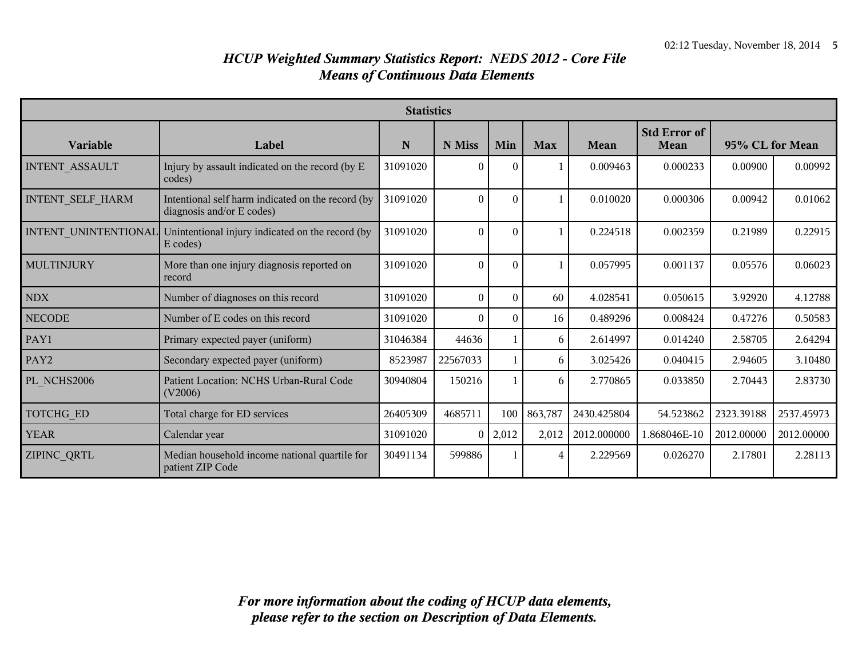| <b>Statistics</b>       |                                                                                |          |          |          |              |             |                             |                 |            |
|-------------------------|--------------------------------------------------------------------------------|----------|----------|----------|--------------|-------------|-----------------------------|-----------------|------------|
| Variable                | Label                                                                          | N        | N Miss   | Min      | <b>Max</b>   | Mean        | <b>Std Error of</b><br>Mean | 95% CL for Mean |            |
| INTENT_ASSAULT          | Injury by assault indicated on the record (by E<br>codes)                      | 31091020 | $\theta$ | $\theta$ |              | 0.009463    | 0.000233                    | 0.00900         | 0.00992    |
| <b>INTENT SELF HARM</b> | Intentional self harm indicated on the record (by<br>diagnosis and/or E codes) | 31091020 | $\theta$ | $\Omega$ |              | 0.010020    | 0.000306                    | 0.00942         | 0.01062    |
| INTENT UNINTENTIONAL    | Unintentional injury indicated on the record (by<br>E codes)                   | 31091020 | $\Omega$ | $\Omega$ | $\mathbf{1}$ | 0.224518    | 0.002359                    | 0.21989         | 0.22915    |
| <b>MULTINJURY</b>       | More than one injury diagnosis reported on<br>record                           | 31091020 | $\Omega$ | $\Omega$ |              | 0.057995    | 0.001137                    | 0.05576         | 0.06023    |
| <b>NDX</b>              | Number of diagnoses on this record                                             | 31091020 | $\theta$ | $\Omega$ | 60           | 4.028541    | 0.050615                    | 3.92920         | 4.12788    |
| <b>NECODE</b>           | Number of E codes on this record                                               | 31091020 | $\theta$ | $\Omega$ | 16           | 0.489296    | 0.008424                    | 0.47276         | 0.50583    |
| PAY1                    | Primary expected payer (uniform)                                               | 31046384 | 44636    |          | 6            | 2.614997    | 0.014240                    | 2.58705         | 2.64294    |
| PAY2                    | Secondary expected payer (uniform)                                             | 8523987  | 22567033 |          | 6            | 3.025426    | 0.040415                    | 2.94605         | 3.10480    |
| PL NCHS2006             | Patient Location: NCHS Urban-Rural Code<br>(V2006)                             | 30940804 | 150216   |          | 6            | 2.770865    | 0.033850                    | 2.70443         | 2.83730    |
| <b>TOTCHG ED</b>        | Total charge for ED services                                                   | 26405309 | 4685711  | 100      | 863,787      | 2430.425804 | 54.523862                   | 2323.39188      | 2537.45973 |
| <b>YEAR</b>             | Calendar year                                                                  | 31091020 | $\Omega$ | 2,012    | 2,012        | 2012.000000 | 1.868046E-10                | 2012.00000      | 2012.00000 |
| <b>ZIPINC QRTL</b>      | Median household income national quartile for<br>patient ZIP Code              | 30491134 | 599886   |          | 4            | 2.229569    | 0.026270                    | 2.17801         | 2.28113    |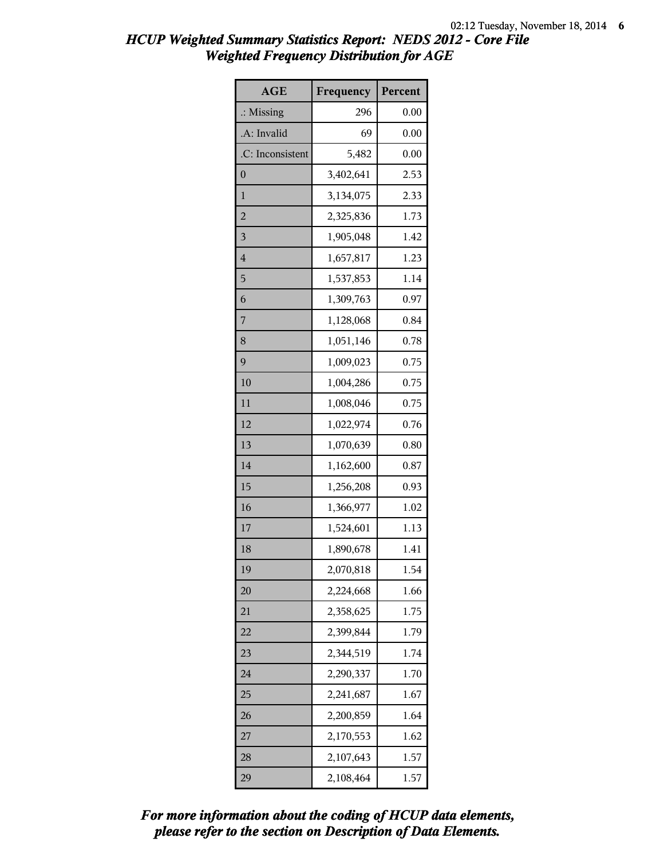| <b>AGE</b>           | Frequency | Percent |
|----------------------|-----------|---------|
| $\therefore$ Missing | 296       | 0.00    |
| .A: Invalid          | 69        | 0.00    |
| .C: Inconsistent     | 5,482     | 0.00    |
| $\boldsymbol{0}$     | 3,402,641 | 2.53    |
| $\mathbf{1}$         | 3,134,075 | 2.33    |
| $\overline{c}$       | 2,325,836 | 1.73    |
| 3                    | 1,905,048 | 1.42    |
| $\overline{4}$       | 1,657,817 | 1.23    |
| 5                    | 1,537,853 | 1.14    |
| 6                    | 1,309,763 | 0.97    |
| 7                    | 1,128,068 | 0.84    |
| 8                    | 1,051,146 | 0.78    |
| 9                    | 1,009,023 | 0.75    |
| 10                   | 1,004,286 | 0.75    |
| 11                   | 1,008,046 | 0.75    |
| 12                   | 1,022,974 | 0.76    |
| 13                   | 1,070,639 | 0.80    |
| 14                   | 1,162,600 | 0.87    |
| 15                   | 1,256,208 | 0.93    |
| 16                   | 1,366,977 | 1.02    |
| 17                   | 1,524,601 | 1.13    |
| 18                   | 1,890,678 | 1.41    |
| 19                   | 2,070,818 | 1.54    |
| 20                   | 2,224,668 | 1.66    |
| 21                   | 2,358,625 | 1.75    |
| 22                   | 2,399,844 | 1.79    |
| 23                   | 2,344,519 | 1.74    |
| 24                   | 2,290,337 | 1.70    |
| 25                   | 2,241,687 | 1.67    |
| 26                   | 2,200,859 | 1.64    |
| 27                   | 2,170,553 | 1.62    |
| 28                   | 2,107,643 | 1.57    |
| 29                   | 2,108,464 | 1.57    |

*please refer to the section on Description of Data Elements. For more information about the coding of HCUP data elements,*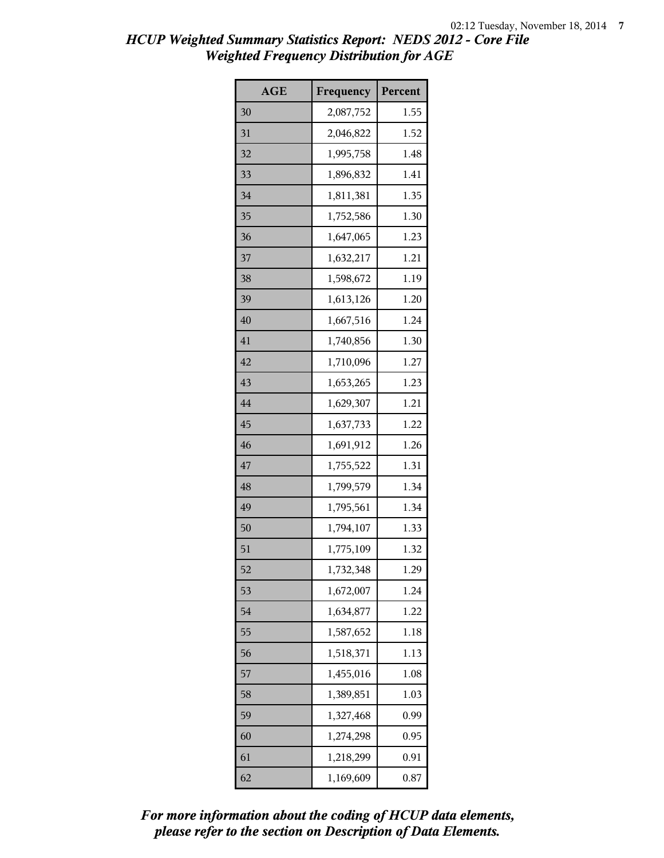| <b>AGE</b> | Frequency | Percent |
|------------|-----------|---------|
| 30         | 2,087,752 | 1.55    |
| 31         | 2,046,822 | 1.52    |
| 32         | 1,995,758 | 1.48    |
| 33         | 1,896,832 | 1.41    |
| 34         | 1,811,381 | 1.35    |
| 35         | 1,752,586 | 1.30    |
| 36         | 1,647,065 | 1.23    |
| 37         | 1,632,217 | 1.21    |
| 38         | 1,598,672 | 1.19    |
| 39         | 1,613,126 | 1.20    |
| 40         | 1,667,516 | 1.24    |
| 41         | 1,740,856 | 1.30    |
| 42         | 1,710,096 | 1.27    |
| 43         | 1,653,265 | 1.23    |
| 44         | 1,629,307 | 1.21    |
| 45         | 1,637,733 | 1.22    |
| 46         | 1,691,912 | 1.26    |
| 47         | 1,755,522 | 1.31    |
| 48         | 1,799,579 | 1.34    |
| 49         | 1,795,561 | 1.34    |
| 50         | 1,794,107 | 1.33    |
| 51         | 1,775,109 | 1.32    |
| 52         | 1,732,348 | 1.29    |
| 53         | 1,672,007 | 1.24    |
| 54         | 1,634,877 | 1.22    |
| 55         | 1,587,652 | 1.18    |
| 56         | 1,518,371 | 1.13    |
| 57         | 1,455,016 | 1.08    |
| 58         | 1,389,851 | 1.03    |
| 59         | 1,327,468 | 0.99    |
| 60         | 1,274,298 | 0.95    |
| 61         | 1,218,299 | 0.91    |
| 62         | 1,169,609 | 0.87    |

*please refer to the section on Description of Data Elements. For more information about the coding of HCUP data elements,*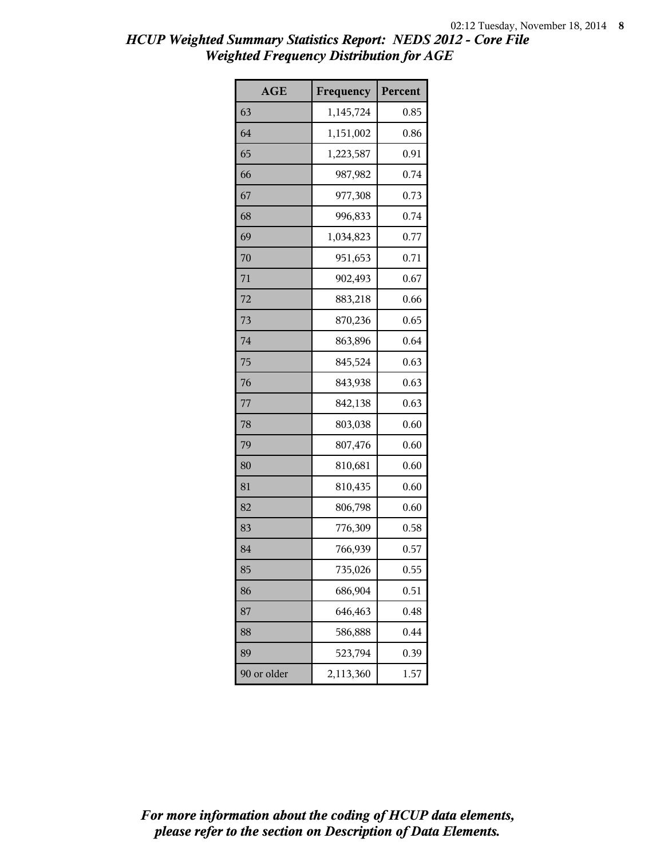| <b>AGE</b>  | Frequency | Percent |
|-------------|-----------|---------|
| 63          | 1,145,724 | 0.85    |
| 64          | 1,151,002 | 0.86    |
| 65          | 1,223,587 | 0.91    |
| 66          | 987,982   | 0.74    |
| 67          | 977,308   | 0.73    |
| 68          | 996,833   | 0.74    |
| 69          | 1,034,823 | 0.77    |
| 70          | 951,653   | 0.71    |
| 71          | 902,493   | 0.67    |
| 72          | 883,218   | 0.66    |
| 73          | 870,236   | 0.65    |
| 74          | 863,896   | 0.64    |
| 75          | 845,524   | 0.63    |
| 76          | 843,938   | 0.63    |
| 77          | 842,138   | 0.63    |
| 78          | 803,038   | 0.60    |
| 79          | 807,476   | 0.60    |
| 80          | 810,681   | 0.60    |
| 81          | 810,435   | 0.60    |
| 82          | 806,798   | 0.60    |
| 83          | 776,309   | 0.58    |
| 84          | 766,939   | 0.57    |
| 85          | 735,026   | 0.55    |
| 86          | 686,904   | 0.51    |
| 87          | 646,463   | 0.48    |
| 88          | 586,888   | 0.44    |
| 89          | 523,794   | 0.39    |
| 90 or older | 2,113,360 | 1.57    |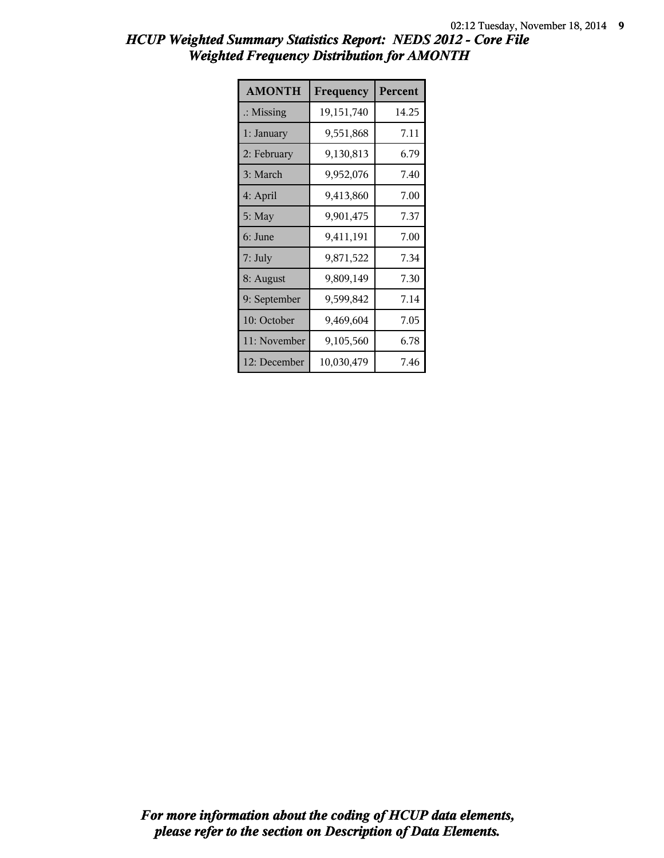| <b>AMONTH</b>        | Frequency    | Percent |
|----------------------|--------------|---------|
| $\therefore$ Missing | 19, 151, 740 | 14.25   |
| 1: January           | 9,551,868    | 7.11    |
| 2: February          | 9,130,813    | 6.79    |
| 3: March             | 9,952,076    | 7.40    |
| 4: April             | 9,413,860    | 7.00    |
| $5:$ May             | 9,901,475    | 7.37    |
| 6: June              | 9,411,191    | 7.00    |
| 7: July              | 9,871,522    | 7.34    |
| 8: August            | 9,809,149    | 7.30    |
| 9: September         | 9,599,842    | 7.14    |
| 10: October          | 9,469,604    | 7.05    |
| 11: November         | 9,105,560    | 6.78    |
| 12: December         | 10,030,479   | 7.46    |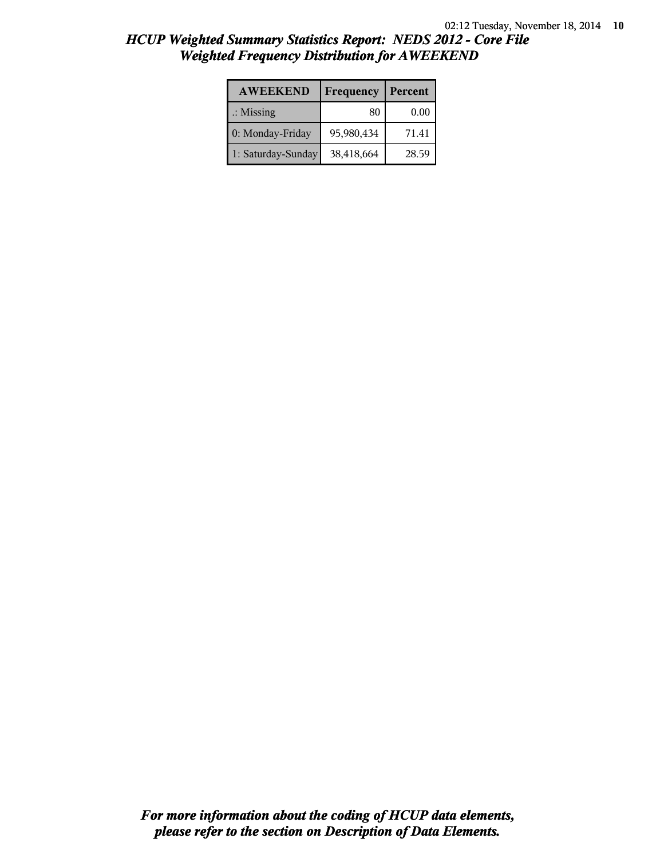| <b>AWEEKEND</b>      | Frequency  | Percent |
|----------------------|------------|---------|
| $\therefore$ Missing | 80         | 0.00    |
| 0: Monday-Friday     | 95,980,434 | 71.41   |
| 1: Saturday-Sunday   | 38,418,664 | 28.59   |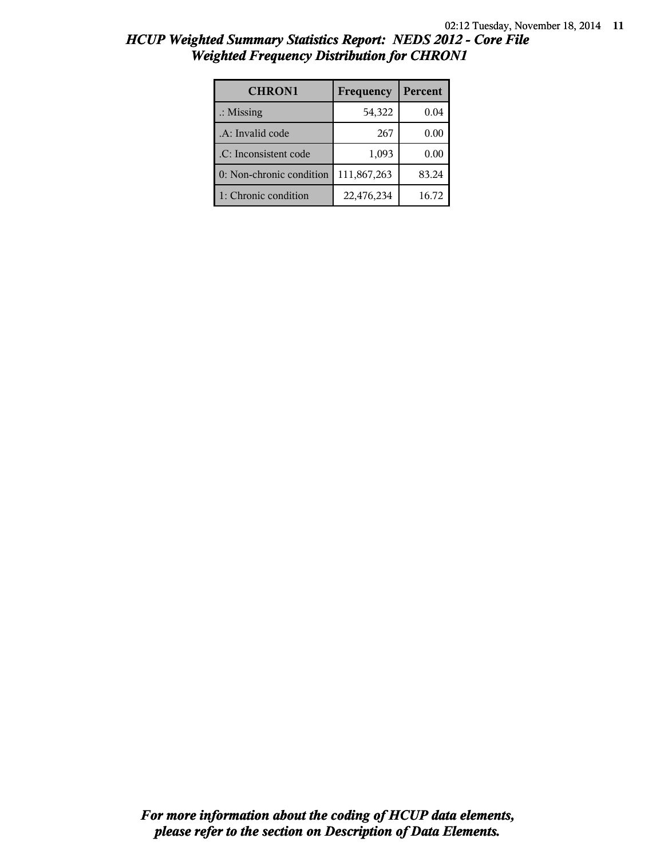| <b>CHRON1</b>            | Frequency   | Percent |
|--------------------------|-------------|---------|
| $\therefore$ Missing     | 54,322      | 0.04    |
| .A: Invalid code         | 267         | 0.00    |
| .C: Inconsistent code    | 1,093       | 0.00    |
| 0: Non-chronic condition | 111,867,263 | 83.24   |
| 1: Chronic condition     | 22,476,234  | 16.72   |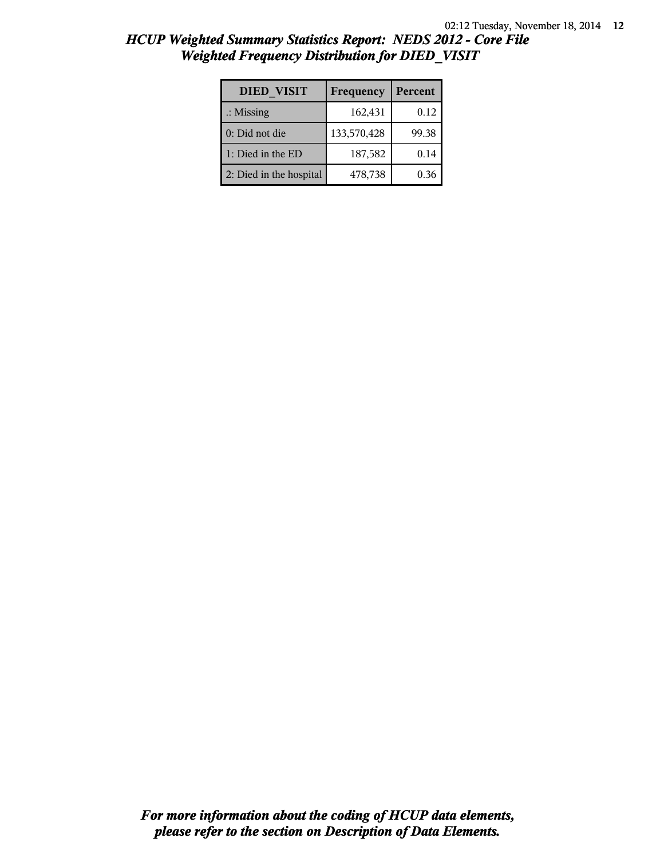| <b>DIED VISIT</b>       | Frequency   | Percent |
|-------------------------|-------------|---------|
| $\therefore$ Missing    | 162,431     | 0.12    |
| 0: Did not die          | 133,570,428 | 99.38   |
| 1: Died in the ED       | 187,582     | 0.14    |
| 2: Died in the hospital | 478,738     | 0.36    |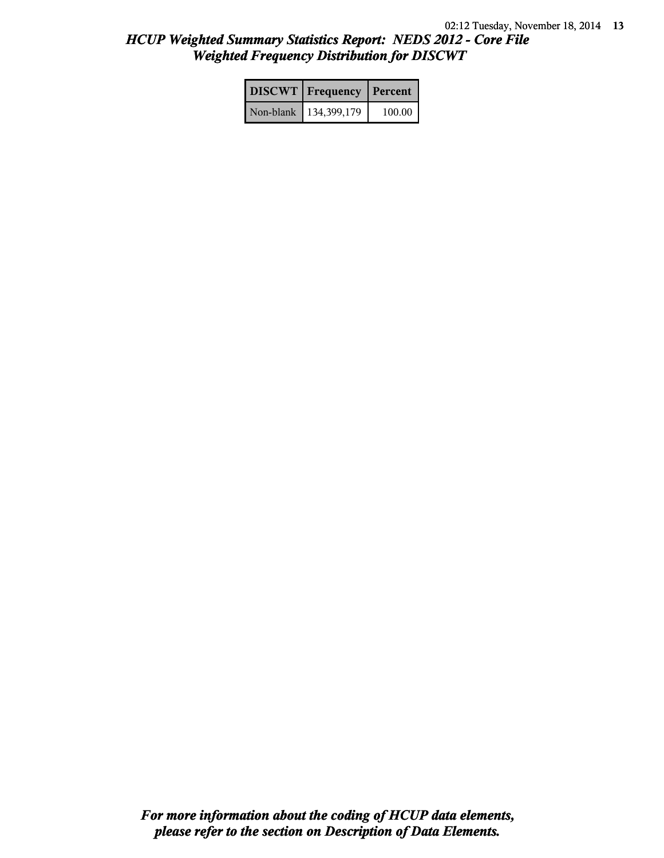| <b>DISCWT</b> Frequency Percent |        |
|---------------------------------|--------|
| Non-blank   134,399,179         | 100.00 |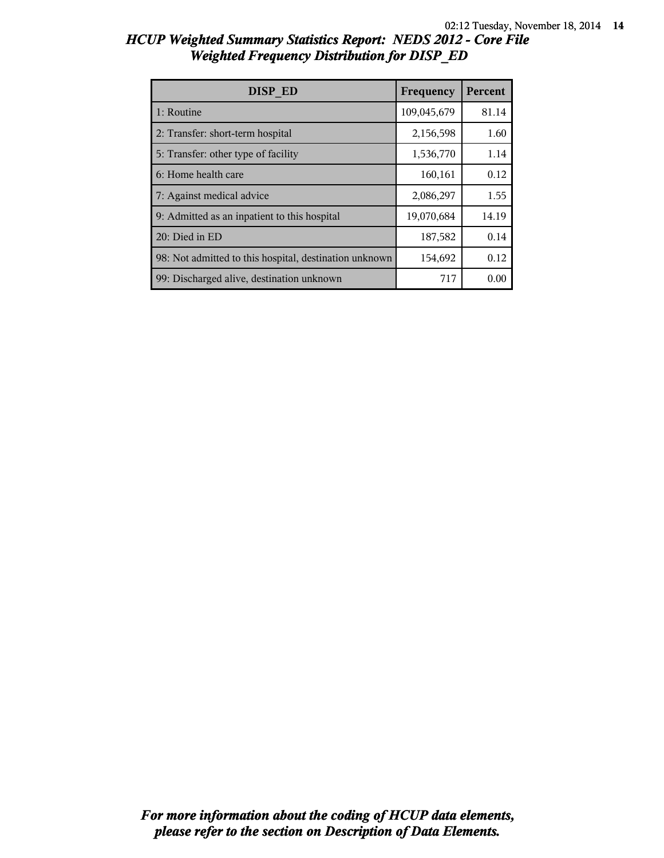| DISP ED                                                | Frequency   | Percent |
|--------------------------------------------------------|-------------|---------|
| 1: Routine                                             | 109,045,679 | 81.14   |
| 2: Transfer: short-term hospital                       | 2,156,598   | 1.60    |
| 5: Transfer: other type of facility                    | 1,536,770   | 1.14    |
| 6: Home health care                                    | 160,161     | 0.12    |
| 7: Against medical advice                              | 2,086,297   | 1.55    |
| 9: Admitted as an inpatient to this hospital           | 19,070,684  | 14.19   |
| 20: Died in ED                                         | 187,582     | 0.14    |
| 98: Not admitted to this hospital, destination unknown | 154,692     | 0.12    |
| 99: Discharged alive, destination unknown              | 717         | 0.00    |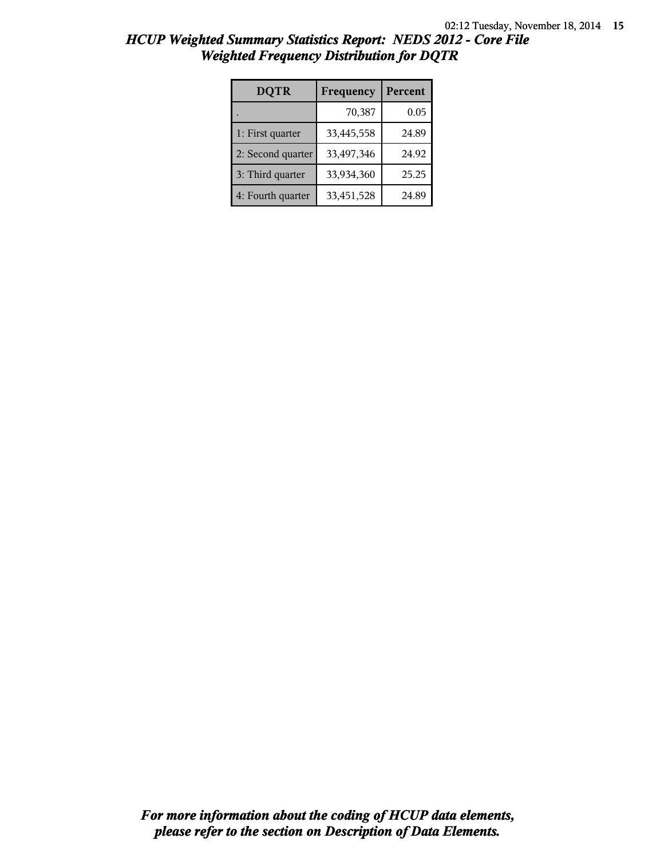| <b>DQTR</b>       | Frequency  | Percent |
|-------------------|------------|---------|
|                   | 70,387     | 0.05    |
| 1: First quarter  | 33,445,558 | 24.89   |
| 2: Second quarter | 33,497,346 | 24.92   |
| 3: Third quarter  | 33,934,360 | 25.25   |
| 4: Fourth quarter | 33,451,528 | 24.89   |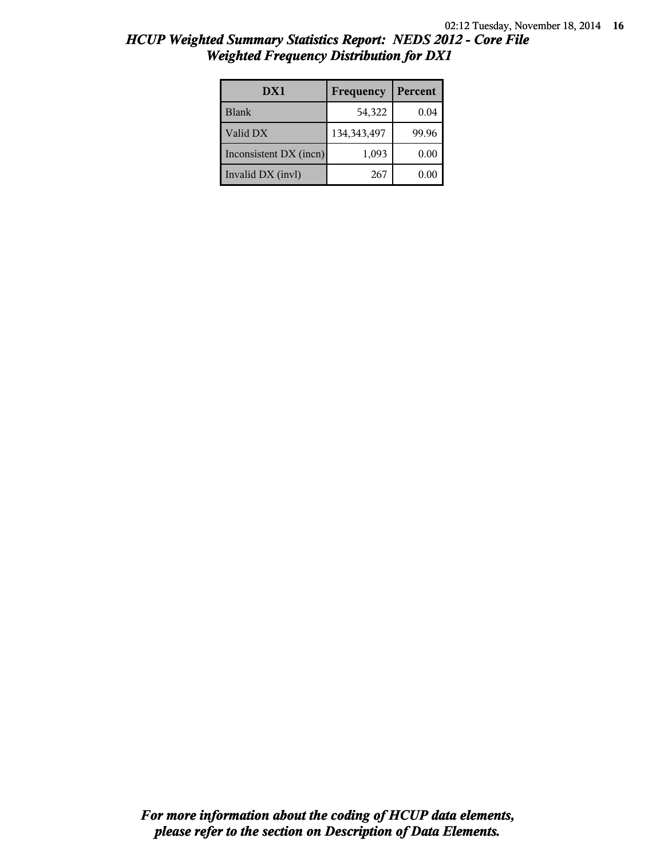| HCUP Weighted Summary Statistics Report: NEDS 2012 - Core File |  |
|----------------------------------------------------------------|--|
| <b>Weighted Frequency Distribution for DX1</b>                 |  |

| DX1                    | Frequency     | Percent |
|------------------------|---------------|---------|
| <b>Blank</b>           | 54,322        | 0.04    |
| Valid DX               | 134, 343, 497 | 99.96   |
| Inconsistent DX (incn) | 1,093         | 0.00    |
| Invalid DX (invl)      | 267           | 0.00    |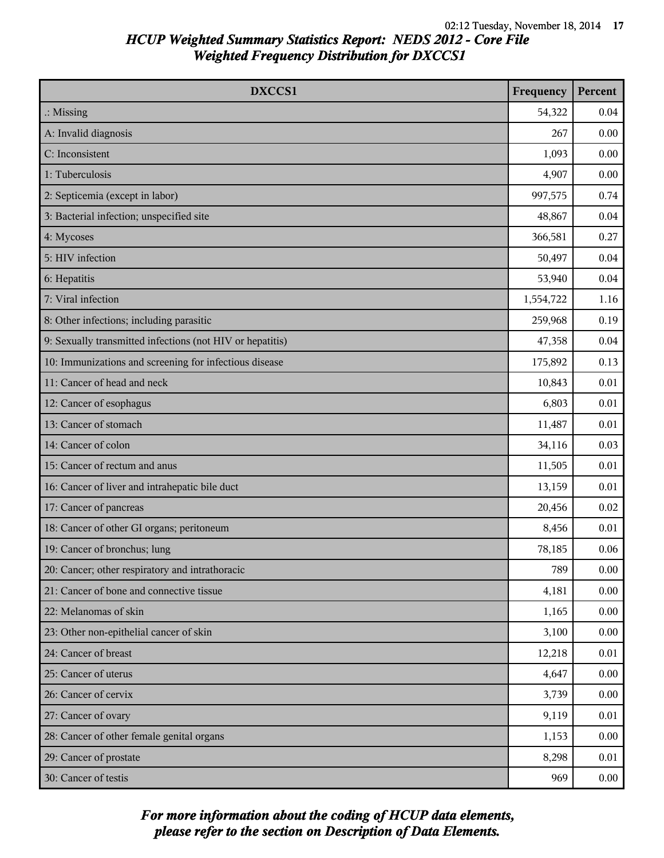| DXCCS1                                                    | Frequency | Percent  |
|-----------------------------------------------------------|-----------|----------|
| $\therefore$ Missing                                      | 54,322    | 0.04     |
| A: Invalid diagnosis                                      | 267       | 0.00     |
| C: Inconsistent                                           | 1,093     | 0.00     |
| 1: Tuberculosis                                           | 4,907     | 0.00     |
| 2: Septicemia (except in labor)                           | 997,575   | 0.74     |
| 3: Bacterial infection; unspecified site                  | 48,867    | 0.04     |
| 4: Mycoses                                                | 366,581   | 0.27     |
| 5: HIV infection                                          | 50,497    | 0.04     |
| 6: Hepatitis                                              | 53,940    | 0.04     |
| 7: Viral infection                                        | 1,554,722 | 1.16     |
| 8: Other infections; including parasitic                  | 259,968   | 0.19     |
| 9: Sexually transmitted infections (not HIV or hepatitis) | 47,358    | 0.04     |
| 10: Immunizations and screening for infectious disease    | 175,892   | 0.13     |
| 11: Cancer of head and neck                               | 10,843    | 0.01     |
| 12: Cancer of esophagus                                   | 6,803     | 0.01     |
| 13: Cancer of stomach                                     | 11,487    | 0.01     |
| 14: Cancer of colon                                       | 34,116    | 0.03     |
| 15: Cancer of rectum and anus                             | 11,505    | 0.01     |
| 16: Cancer of liver and intrahepatic bile duct            | 13,159    | 0.01     |
| 17: Cancer of pancreas                                    | 20,456    | 0.02     |
| 18: Cancer of other GI organs; peritoneum                 | 8,456     | 0.01     |
| 19: Cancer of bronchus; lung                              | 78,185    | 0.06     |
| 20: Cancer; other respiratory and intrathoracic           | 789       | 0.00     |
| 21: Cancer of bone and connective tissue                  | 4,181     | 0.00     |
| 22: Melanomas of skin                                     | 1,165     | 0.00     |
| 23: Other non-epithelial cancer of skin                   | 3,100     | 0.00     |
| 24: Cancer of breast                                      | 12,218    | 0.01     |
| 25: Cancer of uterus                                      | 4,647     | 0.00     |
| 26: Cancer of cervix                                      | 3,739     | 0.00     |
| 27: Cancer of ovary                                       | 9,119     | 0.01     |
| 28: Cancer of other female genital organs                 | 1,153     | 0.00     |
| 29: Cancer of prostate                                    | 8,298     | 0.01     |
| 30: Cancer of testis                                      | 969       | $0.00\,$ |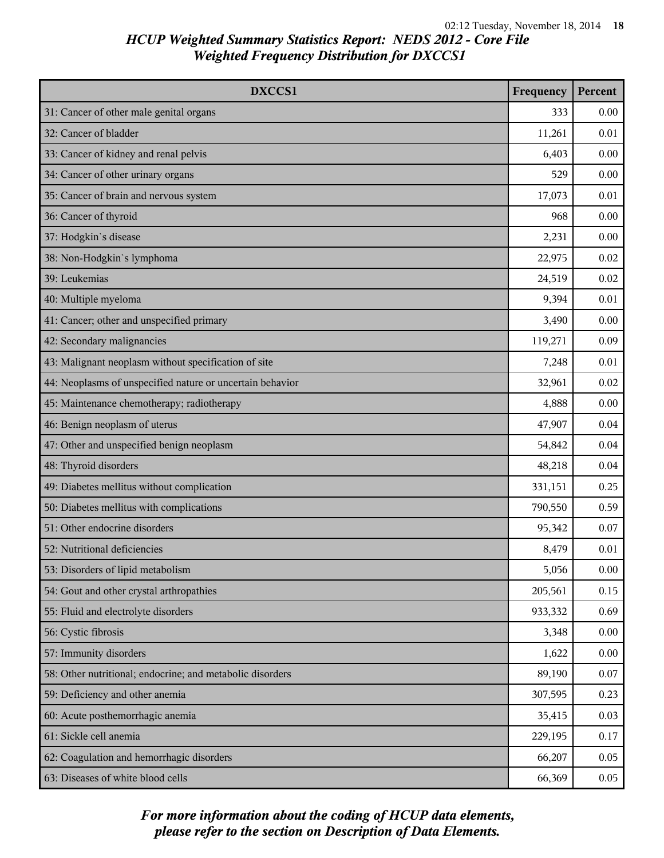| DXCCS1                                                    | Frequency | Percent  |
|-----------------------------------------------------------|-----------|----------|
| 31: Cancer of other male genital organs                   | 333       | 0.00     |
| 32: Cancer of bladder                                     | 11,261    | 0.01     |
| 33: Cancer of kidney and renal pelvis                     | 6,403     | 0.00     |
| 34: Cancer of other urinary organs                        | 529       | 0.00     |
| 35: Cancer of brain and nervous system                    | 17,073    | 0.01     |
| 36: Cancer of thyroid                                     | 968       | 0.00     |
| 37: Hodgkin's disease                                     | 2,231     | 0.00     |
| 38: Non-Hodgkin's lymphoma                                | 22,975    | 0.02     |
| 39: Leukemias                                             | 24,519    | 0.02     |
| 40: Multiple myeloma                                      | 9,394     | 0.01     |
| 41: Cancer; other and unspecified primary                 | 3,490     | 0.00     |
| 42: Secondary malignancies                                | 119,271   | 0.09     |
| 43: Malignant neoplasm without specification of site      | 7,248     | 0.01     |
| 44: Neoplasms of unspecified nature or uncertain behavior | 32,961    | 0.02     |
| 45: Maintenance chemotherapy; radiotherapy                | 4,888     | 0.00     |
| 46: Benign neoplasm of uterus                             | 47,907    | 0.04     |
| 47: Other and unspecified benign neoplasm                 | 54,842    | 0.04     |
| 48: Thyroid disorders                                     | 48,218    | 0.04     |
| 49: Diabetes mellitus without complication                | 331,151   | 0.25     |
| 50: Diabetes mellitus with complications                  | 790,550   | 0.59     |
| 51: Other endocrine disorders                             | 95,342    | 0.07     |
| 52: Nutritional deficiencies                              | 8,479     | 0.01     |
| 53: Disorders of lipid metabolism                         | 5,056     | 0.00     |
| 54: Gout and other crystal arthropathies                  | 205,561   | 0.15     |
| 55: Fluid and electrolyte disorders                       | 933,332   | 0.69     |
| 56: Cystic fibrosis                                       | 3,348     | 0.00     |
| 57: Immunity disorders                                    | 1,622     | $0.00\,$ |
| 58: Other nutritional; endocrine; and metabolic disorders | 89,190    | 0.07     |
| 59: Deficiency and other anemia                           | 307,595   | 0.23     |
| 60: Acute posthemorrhagic anemia                          | 35,415    | 0.03     |
| 61: Sickle cell anemia                                    | 229,195   | 0.17     |
| 62: Coagulation and hemorrhagic disorders                 | 66,207    | 0.05     |
| 63: Diseases of white blood cells                         | 66,369    | 0.05     |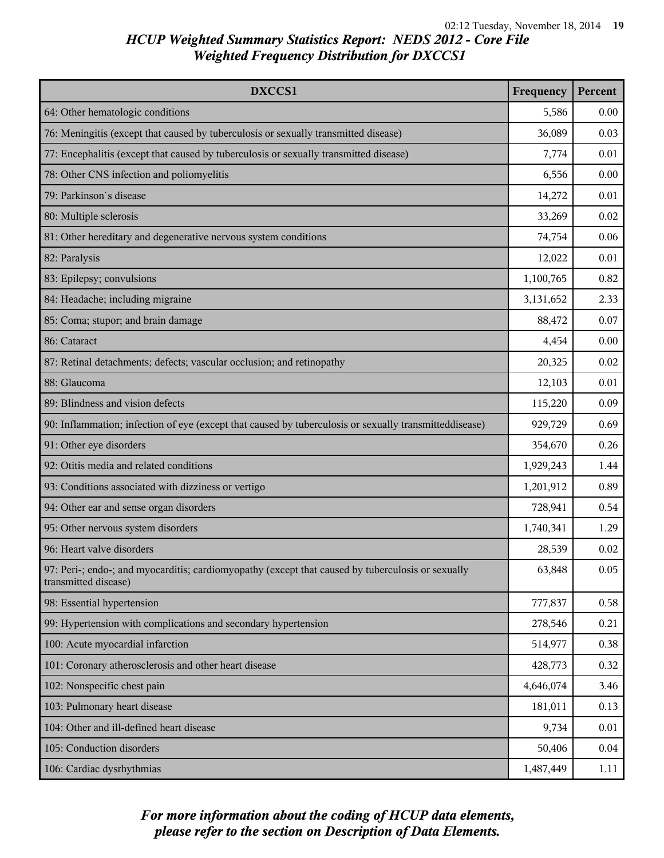| DXCCS1                                                                                                                    | Frequency | Percent |
|---------------------------------------------------------------------------------------------------------------------------|-----------|---------|
| 64: Other hematologic conditions                                                                                          | 5,586     | 0.00    |
| 76: Meningitis (except that caused by tuberculosis or sexually transmitted disease)                                       | 36,089    | 0.03    |
| 77: Encephalitis (except that caused by tuberculosis or sexually transmitted disease)                                     | 7,774     | 0.01    |
| 78: Other CNS infection and poliomyelitis                                                                                 | 6,556     | 0.00    |
| 79: Parkinson's disease                                                                                                   | 14,272    | 0.01    |
| 80: Multiple sclerosis                                                                                                    | 33,269    | 0.02    |
| 81: Other hereditary and degenerative nervous system conditions                                                           | 74,754    | 0.06    |
| 82: Paralysis                                                                                                             | 12,022    | 0.01    |
| 83: Epilepsy; convulsions                                                                                                 | 1,100,765 | 0.82    |
| 84: Headache; including migraine                                                                                          | 3,131,652 | 2.33    |
| 85: Coma; stupor; and brain damage                                                                                        | 88,472    | 0.07    |
| 86: Cataract                                                                                                              | 4,454     | 0.00    |
| 87: Retinal detachments; defects; vascular occlusion; and retinopathy                                                     | 20,325    | 0.02    |
| 88: Glaucoma                                                                                                              | 12,103    | 0.01    |
| 89: Blindness and vision defects                                                                                          | 115,220   | 0.09    |
| 90: Inflammation; infection of eye (except that caused by tuberculosis or sexually transmitteddisease)                    | 929,729   | 0.69    |
| 91: Other eye disorders                                                                                                   | 354,670   | 0.26    |
| 92: Otitis media and related conditions                                                                                   | 1,929,243 | 1.44    |
| 93: Conditions associated with dizziness or vertigo                                                                       | 1,201,912 | 0.89    |
| 94: Other ear and sense organ disorders                                                                                   | 728,941   | 0.54    |
| 95: Other nervous system disorders                                                                                        | 1,740,341 | 1.29    |
| 96: Heart valve disorders                                                                                                 | 28,539    | 0.02    |
| 97: Peri-; endo-; and myocarditis; cardiomyopathy (except that caused by tuberculosis or sexually<br>transmitted disease) | 63,848    | 0.05    |
| 98: Essential hypertension                                                                                                | 777,837   | 0.58    |
| 99: Hypertension with complications and secondary hypertension                                                            | 278,546   | 0.21    |
| 100: Acute myocardial infarction                                                                                          | 514,977   | 0.38    |
| 101: Coronary atherosclerosis and other heart disease                                                                     | 428,773   | 0.32    |
| 102: Nonspecific chest pain                                                                                               | 4,646,074 | 3.46    |
| 103: Pulmonary heart disease                                                                                              | 181,011   | 0.13    |
| 104: Other and ill-defined heart disease                                                                                  | 9,734     | 0.01    |
| 105: Conduction disorders                                                                                                 | 50,406    | 0.04    |
| 106: Cardiac dysrhythmias                                                                                                 | 1,487,449 | 1.11    |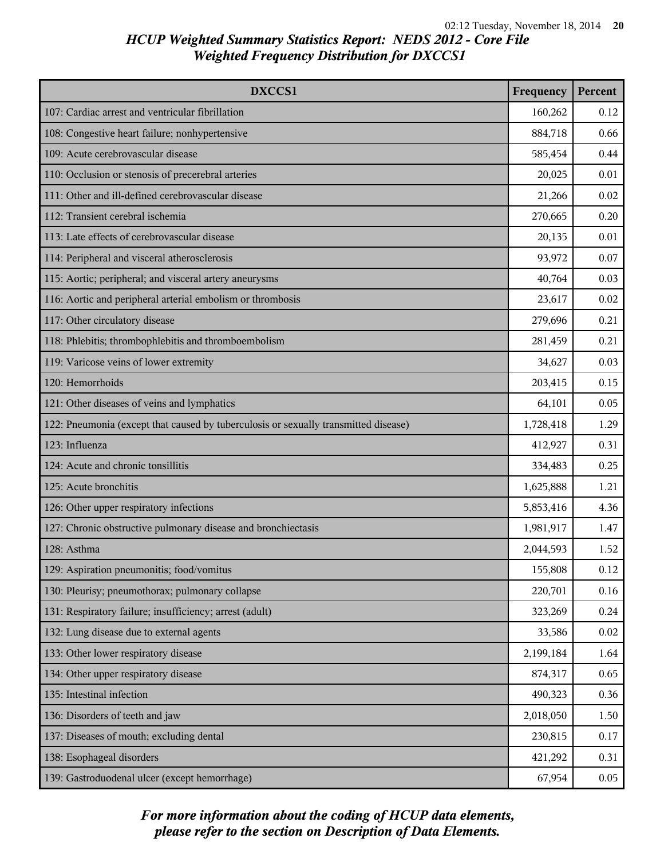| DXCCS1                                                                              | Frequency | Percent |
|-------------------------------------------------------------------------------------|-----------|---------|
| 107: Cardiac arrest and ventricular fibrillation                                    | 160,262   | 0.12    |
| 108: Congestive heart failure; nonhypertensive                                      | 884,718   | 0.66    |
| 109: Acute cerebrovascular disease                                                  | 585,454   | 0.44    |
| 110: Occlusion or stenosis of precerebral arteries                                  | 20,025    | 0.01    |
| 111: Other and ill-defined cerebrovascular disease                                  | 21,266    | 0.02    |
| 112: Transient cerebral ischemia                                                    | 270,665   | 0.20    |
| 113: Late effects of cerebrovascular disease                                        | 20,135    | 0.01    |
| 114: Peripheral and visceral atherosclerosis                                        | 93,972    | 0.07    |
| 115: Aortic; peripheral; and visceral artery aneurysms                              | 40,764    | 0.03    |
| 116: Aortic and peripheral arterial embolism or thrombosis                          | 23,617    | 0.02    |
| 117: Other circulatory disease                                                      | 279,696   | 0.21    |
| 118: Phlebitis; thrombophlebitis and thromboembolism                                | 281,459   | 0.21    |
| 119: Varicose veins of lower extremity                                              | 34,627    | 0.03    |
| 120: Hemorrhoids                                                                    | 203,415   | 0.15    |
| 121: Other diseases of veins and lymphatics                                         | 64,101    | 0.05    |
| 122: Pneumonia (except that caused by tuberculosis or sexually transmitted disease) | 1,728,418 | 1.29    |
| 123: Influenza                                                                      | 412,927   | 0.31    |
| 124: Acute and chronic tonsillitis                                                  | 334,483   | 0.25    |
| 125: Acute bronchitis                                                               | 1,625,888 | 1.21    |
| 126: Other upper respiratory infections                                             | 5,853,416 | 4.36    |
| 127: Chronic obstructive pulmonary disease and bronchiectasis                       | 1,981,917 | 1.47    |
| 128: Asthma                                                                         | 2,044,593 | 1.52    |
| 129: Aspiration pneumonitis; food/vomitus                                           | 155,808   | 0.12    |
| 130: Pleurisy; pneumothorax; pulmonary collapse                                     | 220,701   | 0.16    |
| 131: Respiratory failure; insufficiency; arrest (adult)                             | 323,269   | 0.24    |
| 132: Lung disease due to external agents                                            | 33,586    | 0.02    |
| 133: Other lower respiratory disease                                                | 2,199,184 | 1.64    |
| 134: Other upper respiratory disease                                                | 874,317   | 0.65    |
| 135: Intestinal infection                                                           | 490,323   | 0.36    |
| 136: Disorders of teeth and jaw                                                     | 2,018,050 | 1.50    |
| 137: Diseases of mouth; excluding dental                                            | 230,815   | 0.17    |
| 138: Esophageal disorders                                                           | 421,292   | 0.31    |
| 139: Gastroduodenal ulcer (except hemorrhage)                                       | 67,954    | 0.05    |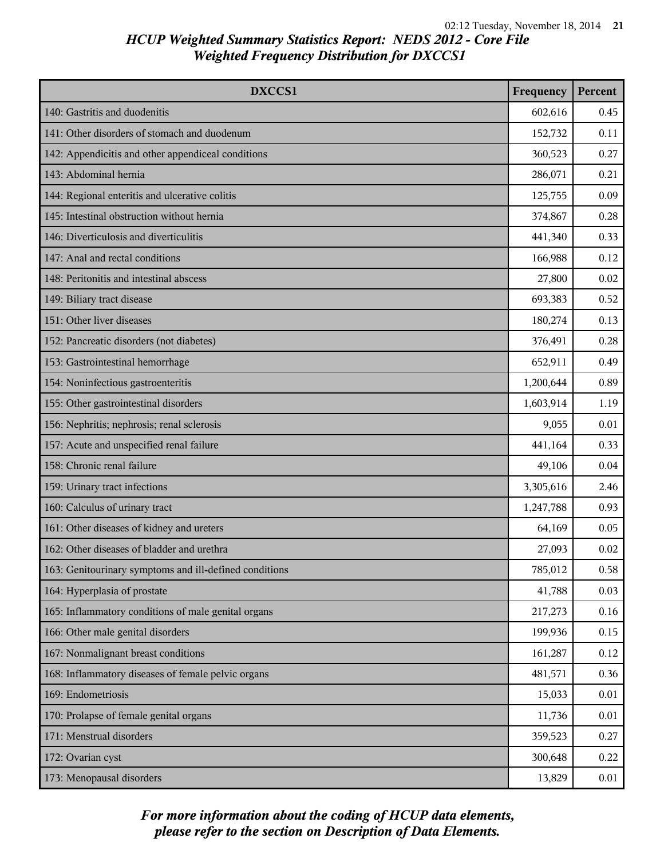| DXCCS1                                                 | Frequency | Percent |
|--------------------------------------------------------|-----------|---------|
| 140: Gastritis and duodenitis                          | 602,616   | 0.45    |
| 141: Other disorders of stomach and duodenum           | 152,732   | 0.11    |
| 142: Appendicitis and other appendiceal conditions     | 360,523   | 0.27    |
| 143: Abdominal hernia                                  | 286,071   | 0.21    |
| 144: Regional enteritis and ulcerative colitis         | 125,755   | 0.09    |
| 145: Intestinal obstruction without hernia             | 374,867   | 0.28    |
| 146: Diverticulosis and diverticulitis                 | 441,340   | 0.33    |
| 147: Anal and rectal conditions                        | 166,988   | 0.12    |
| 148: Peritonitis and intestinal abscess                | 27,800    | 0.02    |
| 149: Biliary tract disease                             | 693,383   | 0.52    |
| 151: Other liver diseases                              | 180,274   | 0.13    |
| 152: Pancreatic disorders (not diabetes)               | 376,491   | 0.28    |
| 153: Gastrointestinal hemorrhage                       | 652,911   | 0.49    |
| 154: Noninfectious gastroenteritis                     | 1,200,644 | 0.89    |
| 155: Other gastrointestinal disorders                  | 1,603,914 | 1.19    |
| 156: Nephritis; nephrosis; renal sclerosis             | 9,055     | 0.01    |
| 157: Acute and unspecified renal failure               | 441,164   | 0.33    |
| 158: Chronic renal failure                             | 49,106    | 0.04    |
| 159: Urinary tract infections                          | 3,305,616 | 2.46    |
| 160: Calculus of urinary tract                         | 1,247,788 | 0.93    |
| 161: Other diseases of kidney and ureters              | 64,169    | 0.05    |
| 162: Other diseases of bladder and urethra             | 27,093    | 0.02    |
| 163: Genitourinary symptoms and ill-defined conditions | 785,012   | 0.58    |
| 164: Hyperplasia of prostate                           | 41,788    | 0.03    |
| 165: Inflammatory conditions of male genital organs    | 217,273   | 0.16    |
| 166: Other male genital disorders                      | 199,936   | 0.15    |
| 167: Nonmalignant breast conditions                    | 161,287   | 0.12    |
| 168: Inflammatory diseases of female pelvic organs     | 481,571   | 0.36    |
| 169: Endometriosis                                     | 15,033    | 0.01    |
| 170: Prolapse of female genital organs                 | 11,736    | 0.01    |
| 171: Menstrual disorders                               | 359,523   | 0.27    |
| 172: Ovarian cyst                                      | 300,648   | 0.22    |
| 173: Menopausal disorders                              | 13,829    | 0.01    |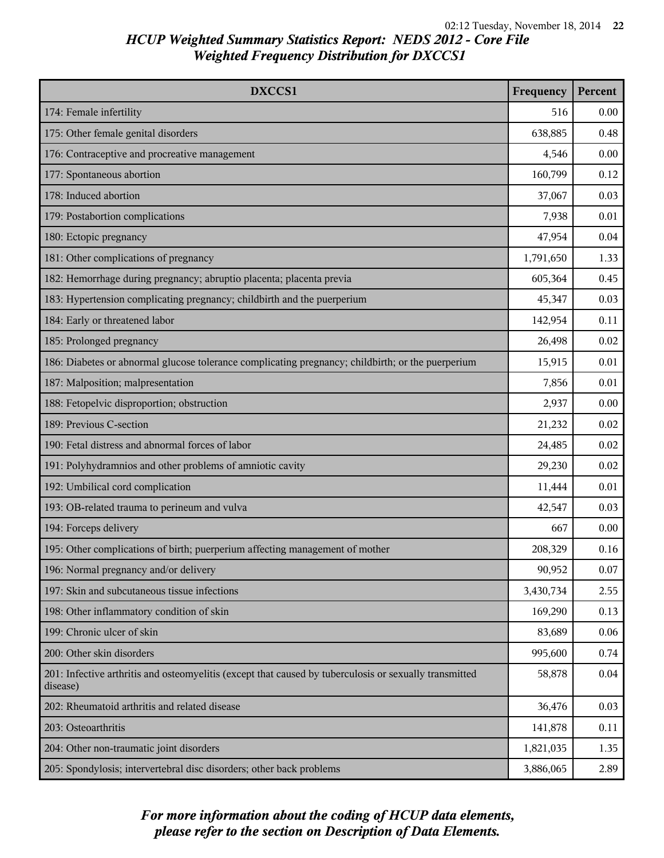| DXCCS1                                                                                                             | Frequency | Percent |
|--------------------------------------------------------------------------------------------------------------------|-----------|---------|
| 174: Female infertility                                                                                            | 516       | 0.00    |
| 175: Other female genital disorders                                                                                | 638,885   | 0.48    |
| 176: Contraceptive and procreative management                                                                      | 4,546     | 0.00    |
| 177: Spontaneous abortion                                                                                          | 160,799   | 0.12    |
| 178: Induced abortion                                                                                              | 37,067    | 0.03    |
| 179: Postabortion complications                                                                                    | 7,938     | 0.01    |
| 180: Ectopic pregnancy                                                                                             | 47,954    | 0.04    |
| 181: Other complications of pregnancy                                                                              | 1,791,650 | 1.33    |
| 182: Hemorrhage during pregnancy; abruptio placenta; placenta previa                                               | 605,364   | 0.45    |
| 183: Hypertension complicating pregnancy; childbirth and the puerperium                                            | 45,347    | 0.03    |
| 184: Early or threatened labor                                                                                     | 142,954   | 0.11    |
| 185: Prolonged pregnancy                                                                                           | 26,498    | 0.02    |
| 186: Diabetes or abnormal glucose tolerance complicating pregnancy; childbirth; or the puerperium                  | 15,915    | 0.01    |
| 187: Malposition; malpresentation                                                                                  | 7,856     | 0.01    |
| 188: Fetopelvic disproportion; obstruction                                                                         | 2,937     | 0.00    |
| 189: Previous C-section                                                                                            | 21,232    | 0.02    |
| 190: Fetal distress and abnormal forces of labor                                                                   | 24,485    | 0.02    |
| 191: Polyhydramnios and other problems of amniotic cavity                                                          | 29,230    | 0.02    |
| 192: Umbilical cord complication                                                                                   | 11,444    | 0.01    |
| 193: OB-related trauma to perineum and vulva                                                                       | 42,547    | 0.03    |
| 194: Forceps delivery                                                                                              | 667       | 0.00    |
| 195: Other complications of birth; puerperium affecting management of mother                                       | 208,329   | 0.16    |
| 196: Normal pregnancy and/or delivery                                                                              | 90,952    | 0.07    |
| 197: Skin and subcutaneous tissue infections                                                                       | 3,430,734 | 2.55    |
| 198: Other inflammatory condition of skin                                                                          | 169,290   | 0.13    |
| 199: Chronic ulcer of skin                                                                                         | 83,689    | 0.06    |
| 200: Other skin disorders                                                                                          | 995,600   | 0.74    |
| 201: Infective arthritis and osteomyelitis (except that caused by tuberculosis or sexually transmitted<br>disease) | 58,878    | 0.04    |
| 202: Rheumatoid arthritis and related disease                                                                      | 36,476    | 0.03    |
| 203: Osteoarthritis                                                                                                | 141,878   | 0.11    |
| 204: Other non-traumatic joint disorders                                                                           | 1,821,035 | 1.35    |
| 205: Spondylosis; intervertebral disc disorders; other back problems                                               | 3,886,065 | 2.89    |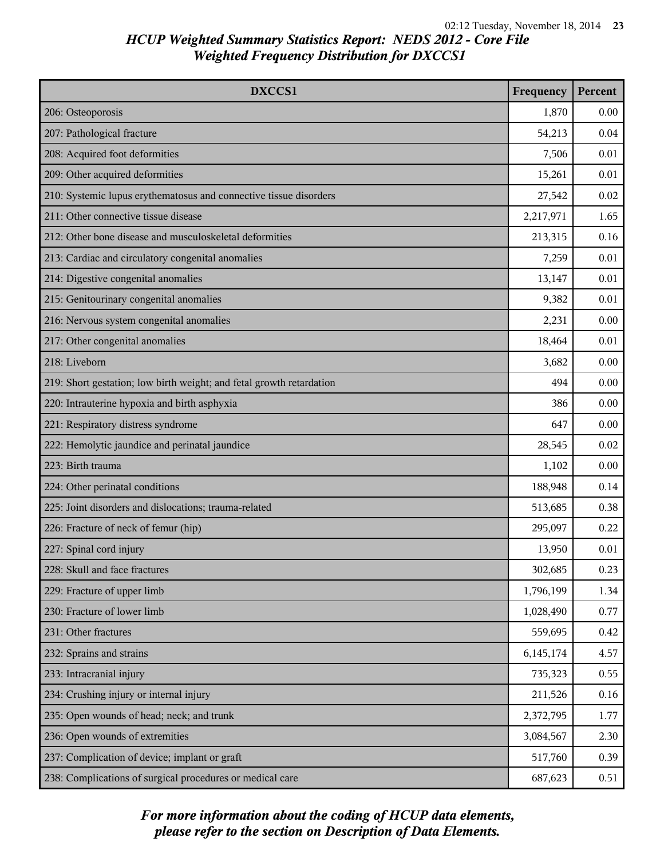| DXCCS1                                                               | Frequency | Percent |
|----------------------------------------------------------------------|-----------|---------|
| 206: Osteoporosis                                                    | 1,870     | 0.00    |
| 207: Pathological fracture                                           | 54,213    | 0.04    |
| 208: Acquired foot deformities                                       | 7,506     | 0.01    |
| 209: Other acquired deformities                                      | 15,261    | 0.01    |
| 210: Systemic lupus erythematosus and connective tissue disorders    | 27,542    | 0.02    |
| 211: Other connective tissue disease                                 | 2,217,971 | 1.65    |
| 212: Other bone disease and musculoskeletal deformities              | 213,315   | 0.16    |
| 213: Cardiac and circulatory congenital anomalies                    | 7,259     | 0.01    |
| 214: Digestive congenital anomalies                                  | 13,147    | 0.01    |
| 215: Genitourinary congenital anomalies                              | 9,382     | 0.01    |
| 216: Nervous system congenital anomalies                             | 2,231     | 0.00    |
| 217: Other congenital anomalies                                      | 18,464    | 0.01    |
| 218: Liveborn                                                        | 3,682     | 0.00    |
| 219: Short gestation; low birth weight; and fetal growth retardation | 494       | 0.00    |
| 220: Intrauterine hypoxia and birth asphyxia                         | 386       | 0.00    |
| 221: Respiratory distress syndrome                                   | 647       | 0.00    |
| 222: Hemolytic jaundice and perinatal jaundice                       | 28,545    | 0.02    |
| 223: Birth trauma                                                    | 1,102     | 0.00    |
| 224: Other perinatal conditions                                      | 188,948   | 0.14    |
| 225: Joint disorders and dislocations; trauma-related                | 513,685   | 0.38    |
| 226: Fracture of neck of femur (hip)                                 | 295,097   | 0.22    |
| 227: Spinal cord injury                                              | 13,950    | 0.01    |
| 228: Skull and face fractures                                        | 302,685   | 0.23    |
| 229: Fracture of upper limb                                          | 1,796,199 | 1.34    |
| 230: Fracture of lower limb                                          | 1,028,490 | 0.77    |
| 231: Other fractures                                                 | 559,695   | 0.42    |
| 232: Sprains and strains                                             | 6,145,174 | 4.57    |
| 233: Intracranial injury                                             | 735,323   | 0.55    |
| 234: Crushing injury or internal injury                              | 211,526   | 0.16    |
| 235: Open wounds of head; neck; and trunk                            | 2,372,795 | 1.77    |
| 236: Open wounds of extremities                                      | 3,084,567 | 2.30    |
| 237: Complication of device; implant or graft                        | 517,760   | 0.39    |
| 238: Complications of surgical procedures or medical care            | 687,623   | 0.51    |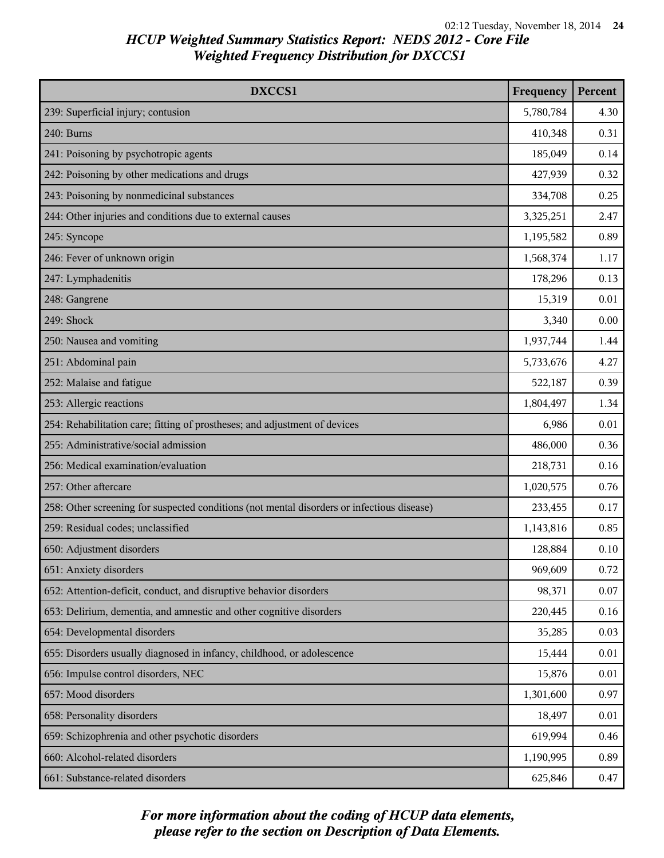| DXCCS1                                                                                     | Frequency | Percent |
|--------------------------------------------------------------------------------------------|-----------|---------|
| 239: Superficial injury; contusion                                                         | 5,780,784 | 4.30    |
| 240: Burns                                                                                 | 410,348   | 0.31    |
| 241: Poisoning by psychotropic agents                                                      | 185,049   | 0.14    |
| 242: Poisoning by other medications and drugs                                              | 427,939   | 0.32    |
| 243: Poisoning by nonmedicinal substances                                                  | 334,708   | 0.25    |
| 244: Other injuries and conditions due to external causes                                  | 3,325,251 | 2.47    |
| 245: Syncope                                                                               | 1,195,582 | 0.89    |
| 246: Fever of unknown origin                                                               | 1,568,374 | 1.17    |
| 247: Lymphadenitis                                                                         | 178,296   | 0.13    |
| 248: Gangrene                                                                              | 15,319    | 0.01    |
| 249: Shock                                                                                 | 3,340     | 0.00    |
| 250: Nausea and vomiting                                                                   | 1,937,744 | 1.44    |
| 251: Abdominal pain                                                                        | 5,733,676 | 4.27    |
| 252: Malaise and fatigue                                                                   | 522,187   | 0.39    |
| 253: Allergic reactions                                                                    | 1,804,497 | 1.34    |
| 254: Rehabilitation care; fitting of prostheses; and adjustment of devices                 | 6,986     | 0.01    |
| 255: Administrative/social admission                                                       | 486,000   | 0.36    |
| 256: Medical examination/evaluation                                                        | 218,731   | 0.16    |
| 257: Other aftercare                                                                       | 1,020,575 | 0.76    |
| 258: Other screening for suspected conditions (not mental disorders or infectious disease) | 233,455   | 0.17    |
| 259: Residual codes; unclassified                                                          | 1,143,816 | 0.85    |
| 650: Adjustment disorders                                                                  | 128,884   | 0.10    |
| 651: Anxiety disorders                                                                     | 969,609   | 0.72    |
| 652: Attention-deficit, conduct, and disruptive behavior disorders                         | 98,371    | 0.07    |
| 653: Delirium, dementia, and amnestic and other cognitive disorders                        | 220,445   | 0.16    |
| 654: Developmental disorders                                                               | 35,285    | 0.03    |
| 655: Disorders usually diagnosed in infancy, childhood, or adolescence                     | 15,444    | 0.01    |
| 656: Impulse control disorders, NEC                                                        | 15,876    | 0.01    |
| 657: Mood disorders                                                                        | 1,301,600 | 0.97    |
| 658: Personality disorders                                                                 | 18,497    | 0.01    |
| 659: Schizophrenia and other psychotic disorders                                           | 619,994   | 0.46    |
| 660: Alcohol-related disorders                                                             | 1,190,995 | 0.89    |
| 661: Substance-related disorders                                                           | 625,846   | 0.47    |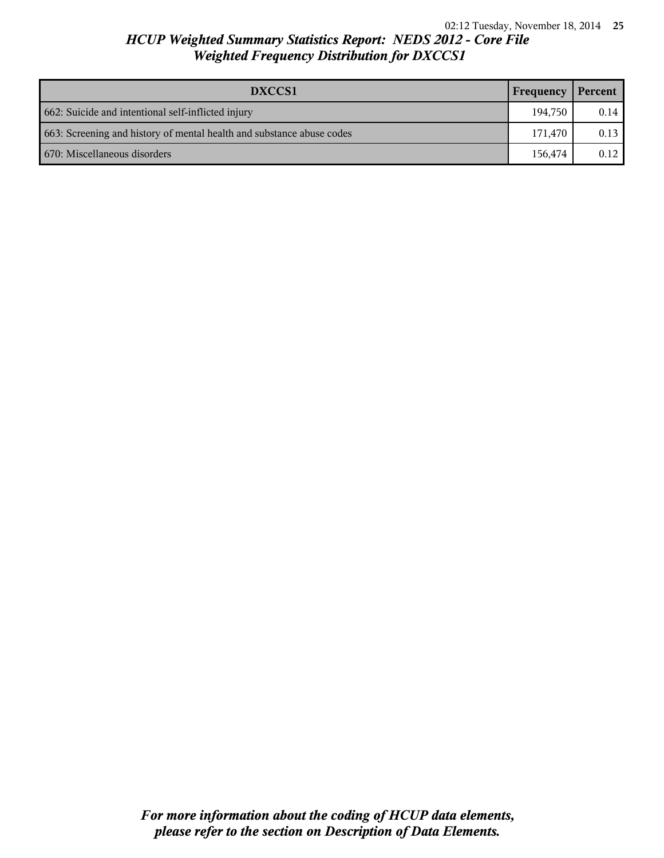| DXCCS1                                                                | Frequency | Percent |
|-----------------------------------------------------------------------|-----------|---------|
| 662: Suicide and intentional self-inflicted injury                    | 194.750   | 0.14    |
| 663: Screening and history of mental health and substance abuse codes | 171.470   | 0.13    |
| 670: Miscellaneous disorders                                          | 156,474   | 0.12    |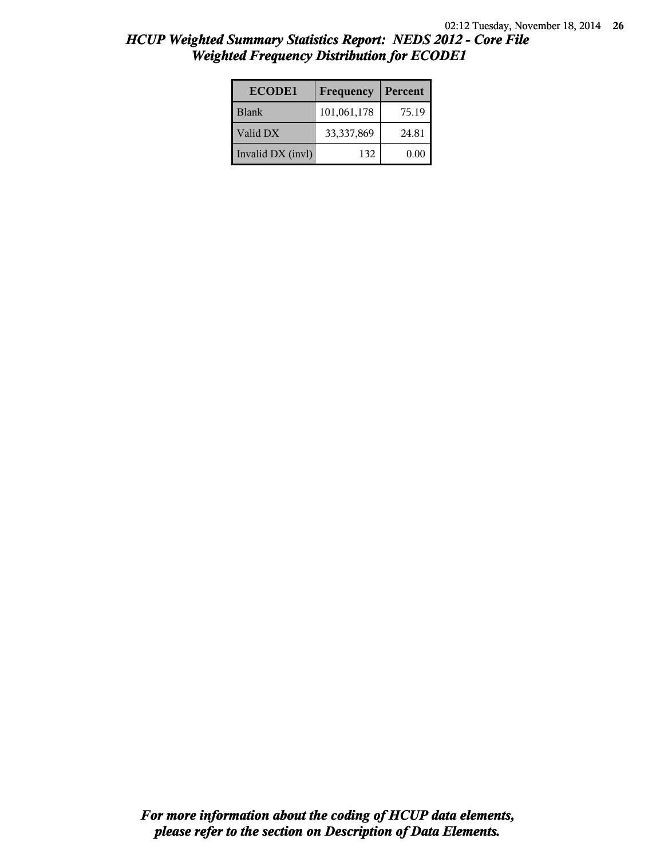| <b>ECODE1</b>     | Frequency   | Percent |
|-------------------|-------------|---------|
| <b>Blank</b>      | 101,061,178 | 75.19   |
| Valid DX          | 33,337,869  | 24.81   |
| Invalid DX (invl) | 132         | 0.00    |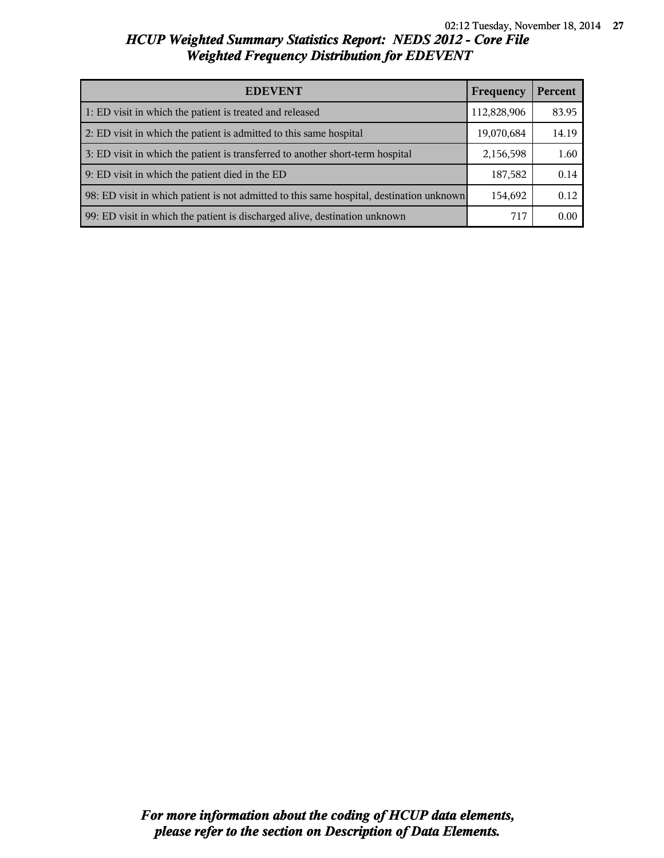| <b>EDEVENT</b>                                                                           | Frequency   | Percent |
|------------------------------------------------------------------------------------------|-------------|---------|
| 1: ED visit in which the patient is treated and released                                 | 112,828,906 | 83.95   |
| 2: ED visit in which the patient is admitted to this same hospital                       | 19,070,684  | 14.19   |
| 3: ED visit in which the patient is transferred to another short-term hospital           | 2,156,598   | 1.60    |
| 9: ED visit in which the patient died in the ED                                          | 187,582     | 0.14    |
| 98: ED visit in which patient is not admitted to this same hospital, destination unknown | 154,692     | 0.12    |
| 99: ED visit in which the patient is discharged alive, destination unknown               | 717         | 0.00    |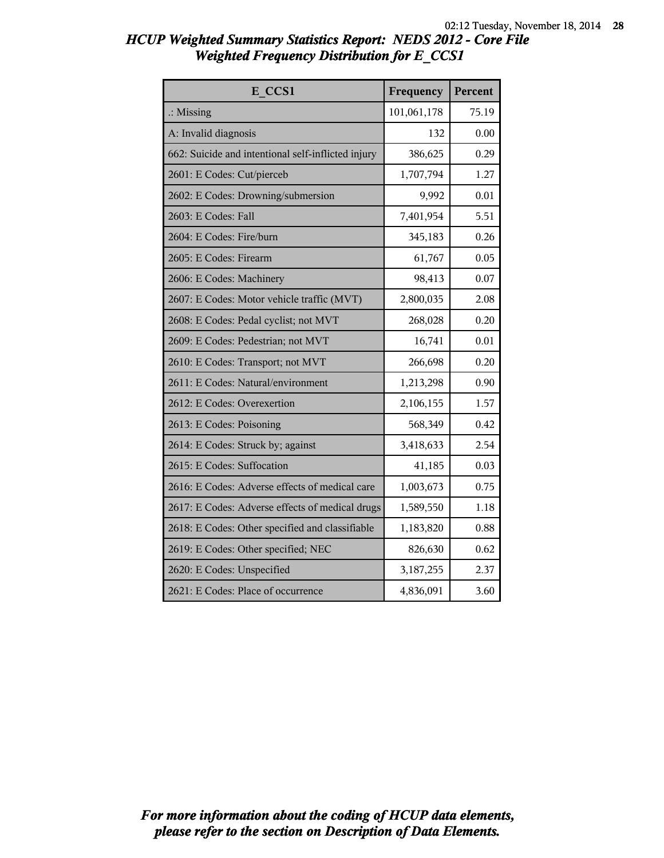| E CCS1                                             | Frequency   | Percent |
|----------------------------------------------------|-------------|---------|
| $\therefore$ Missing                               | 101,061,178 | 75.19   |
| A: Invalid diagnosis                               | 132         | 0.00    |
| 662: Suicide and intentional self-inflicted injury | 386,625     | 0.29    |
| 2601: E Codes: Cut/pierceb                         | 1,707,794   | 1.27    |
| 2602: E Codes: Drowning/submersion                 | 9,992       | 0.01    |
| 2603: E Codes: Fall                                | 7,401,954   | 5.51    |
| 2604: E Codes: Fire/burn                           | 345,183     | 0.26    |
| 2605: E Codes: Firearm                             | 61,767      | 0.05    |
| 2606: E Codes: Machinery                           | 98,413      | 0.07    |
| 2607: E Codes: Motor vehicle traffic (MVT)         | 2,800,035   | 2.08    |
| 2608: E Codes: Pedal cyclist; not MVT              | 268,028     | 0.20    |
| 2609: E Codes: Pedestrian; not MVT                 | 16,741      | 0.01    |
| 2610: E Codes: Transport; not MVT                  | 266,698     | 0.20    |
| 2611: E Codes: Natural/environment                 | 1,213,298   | 0.90    |
| 2612: E Codes: Overexertion                        | 2,106,155   | 1.57    |
| 2613: E Codes: Poisoning                           | 568,349     | 0.42    |
| 2614: E Codes: Struck by; against                  | 3,418,633   | 2.54    |
| 2615: E Codes: Suffocation                         | 41,185      | 0.03    |
| 2616: E Codes: Adverse effects of medical care     | 1,003,673   | 0.75    |
| 2617: E Codes: Adverse effects of medical drugs    | 1,589,550   | 1.18    |
| 2618: E Codes: Other specified and classifiable    | 1,183,820   | 0.88    |
| 2619: E Codes: Other specified; NEC                | 826,630     | 0.62    |
| 2620: E Codes: Unspecified                         | 3,187,255   | 2.37    |
| 2621: E Codes: Place of occurrence                 | 4,836,091   | 3.60    |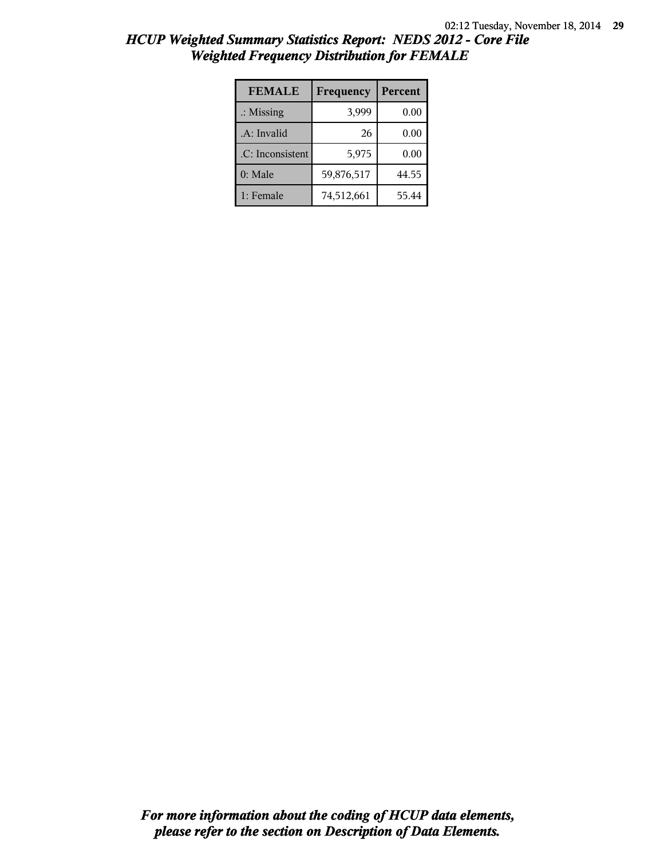| <b>FEMALE</b>        | Frequency  | Percent |
|----------------------|------------|---------|
| $\therefore$ Missing | 3,999      | 0.00    |
| .A: Invalid          | 26         | 0.00    |
| .C: Inconsistent     | 5,975      | 0.00    |
| $0:$ Male            | 59,876,517 | 44.55   |
| 1: Female            | 74,512,661 | 55.44   |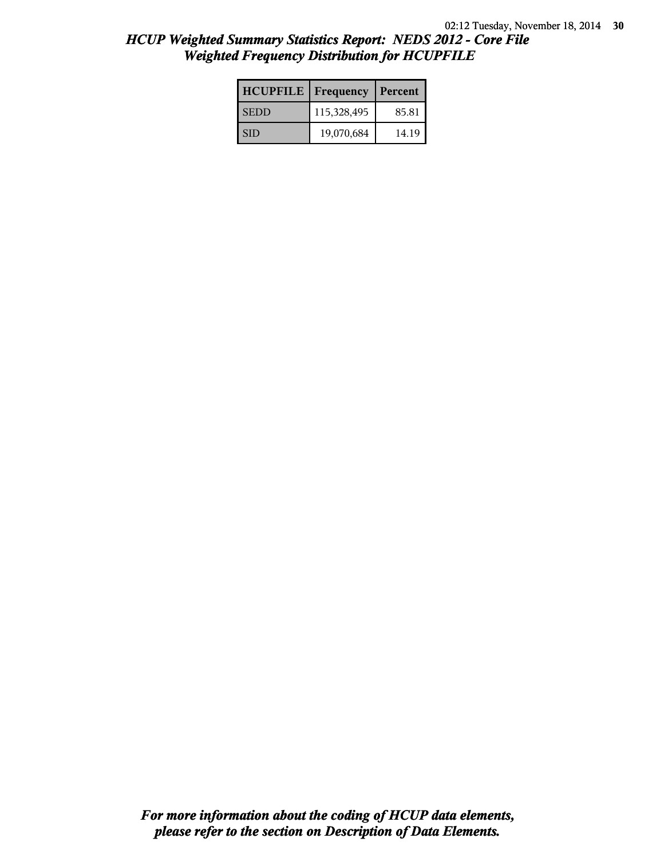| <b>HCUPFILE</b>   Frequency |             | Percent |
|-----------------------------|-------------|---------|
| <b>SEDD</b>                 | 115,328,495 | 85.81   |
| SID                         | 19,070,684  | 14.19   |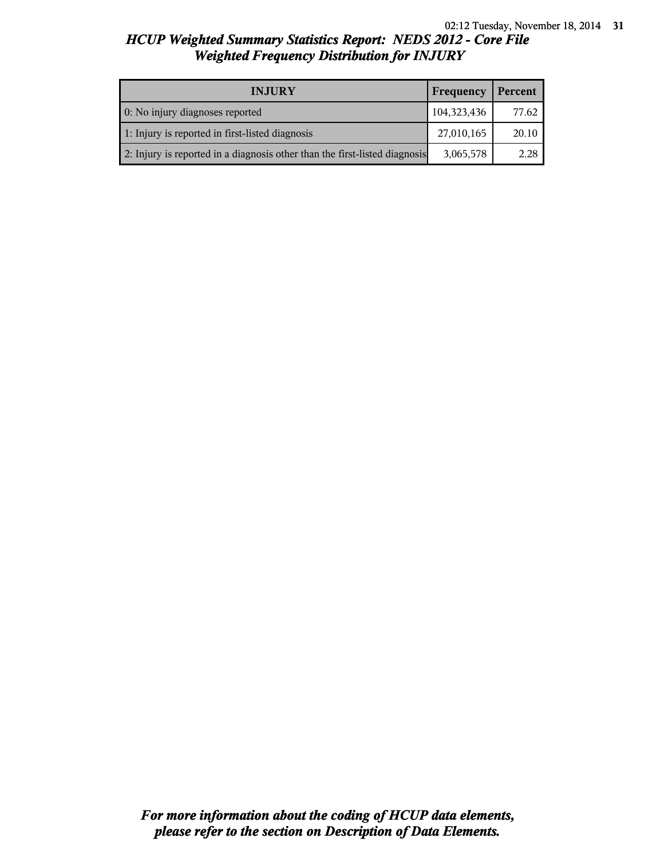| <b>INJURY</b>                                                              | Frequency   | Percent |
|----------------------------------------------------------------------------|-------------|---------|
| 0: No injury diagnoses reported                                            | 104,323,436 | 77.62   |
| 1: Injury is reported in first-listed diagnosis                            | 27,010,165  | 20.10   |
| 2: Injury is reported in a diagnosis other than the first-listed diagnosis | 3,065,578   | 2.28    |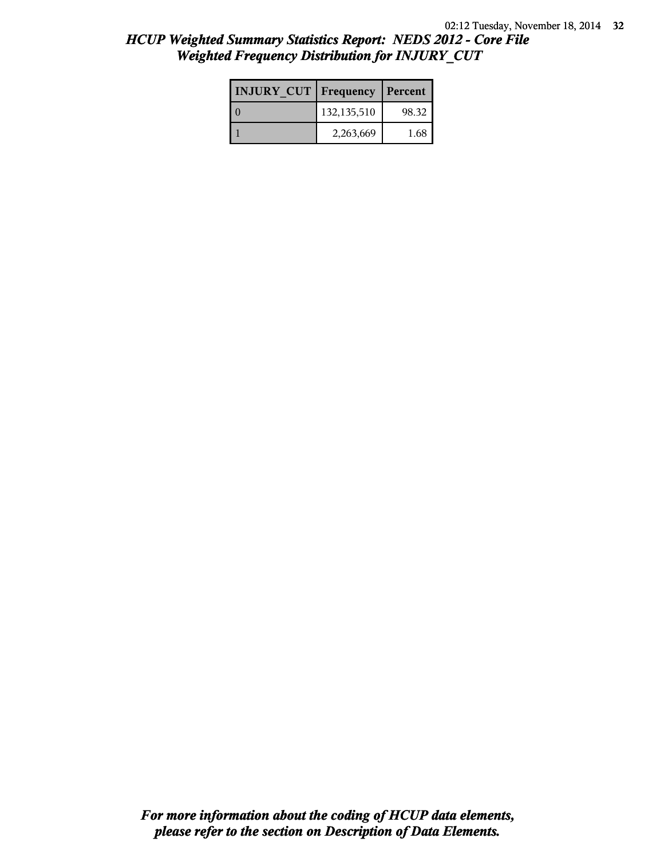| <b>INJURY CUT   Frequency</b> |             | Percent |
|-------------------------------|-------------|---------|
|                               | 132,135,510 | 98.32   |
|                               | 2,263,669   | 1.68    |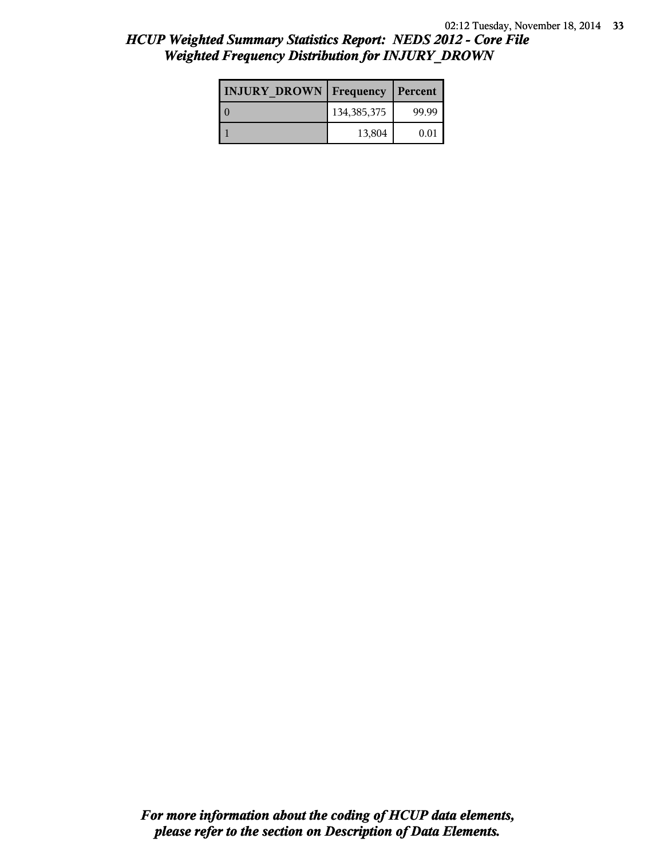| <b>INJURY DROWN</b> Frequency |               | Percent |
|-------------------------------|---------------|---------|
|                               | 134, 385, 375 | 99.99   |
|                               | 13,804        | 0.01    |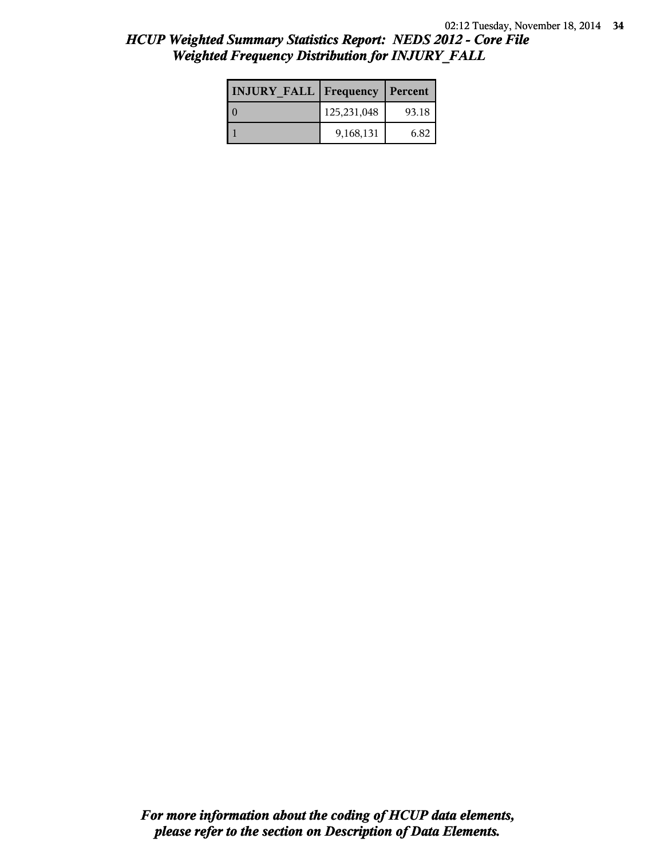| <b>INJURY FALL Frequency</b> |             | Percent |
|------------------------------|-------------|---------|
|                              | 125,231,048 | 93.18   |
|                              | 9,168,131   | 6.82    |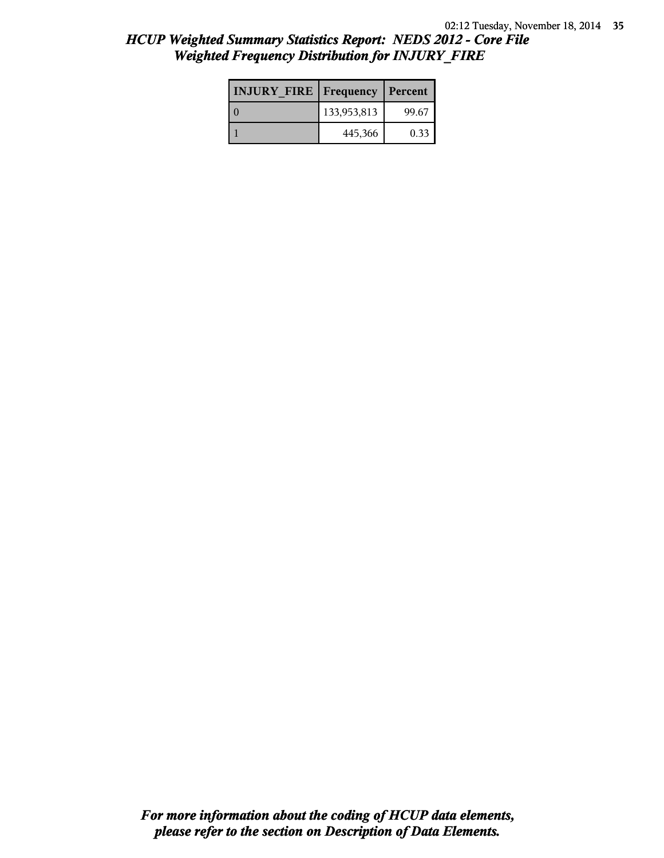| <b>INJURY FIRE   Frequency</b> |             | Percent |
|--------------------------------|-------------|---------|
|                                | 133,953,813 | 99.67   |
|                                | 445,366     | 0.33    |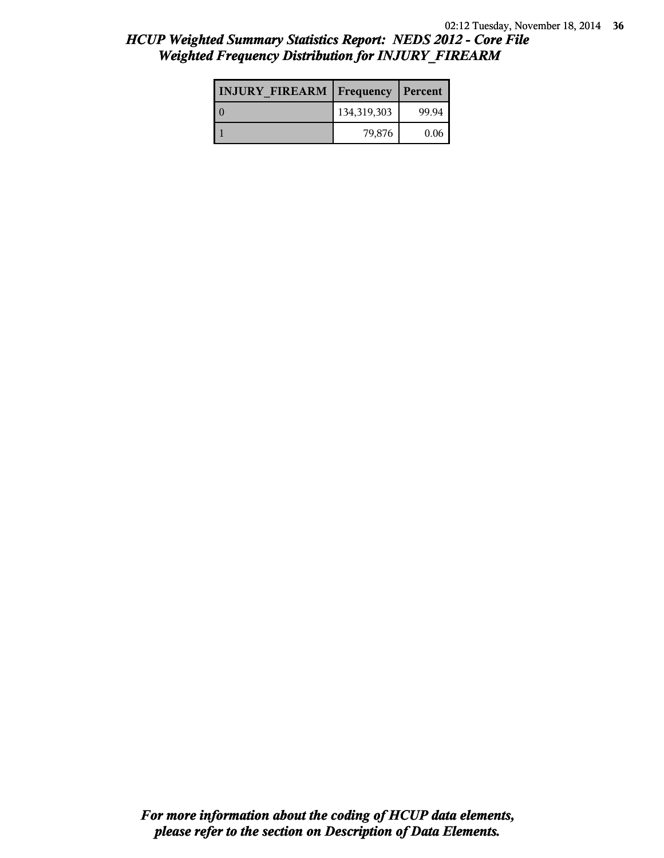| <b>INJURY FIREARM Frequency</b> |             | Percent |
|---------------------------------|-------------|---------|
|                                 | 134,319,303 | 99.94   |
|                                 | 79,876      | 0.06    |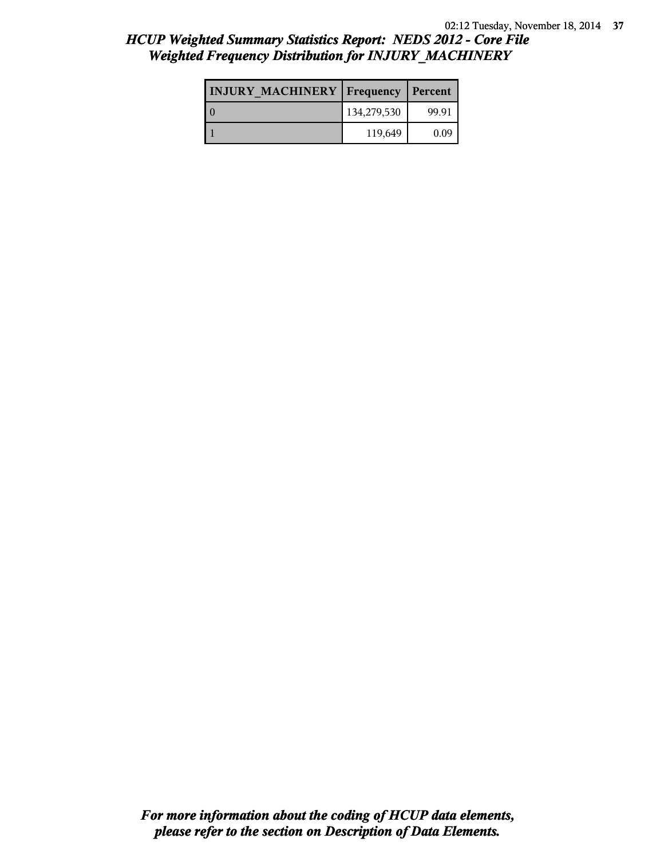| <b>INJURY MACHINERY   Frequency</b> |             | Percent |
|-------------------------------------|-------------|---------|
|                                     | 134,279,530 | 99.91   |
|                                     | 119,649     | 0.09    |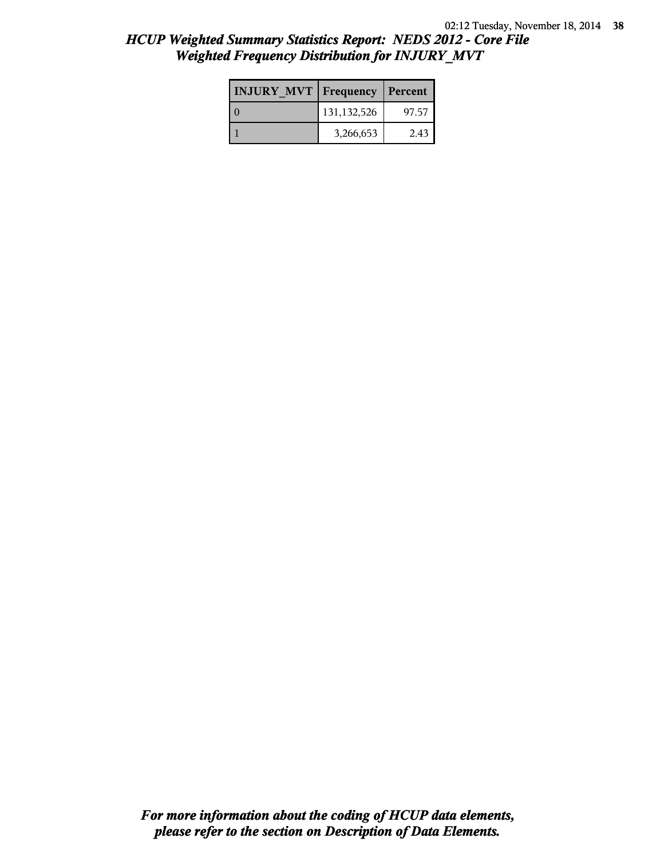| <b>INJURY MVT Frequency Percent</b> |               |       |
|-------------------------------------|---------------|-------|
|                                     | 131, 132, 526 | 97.57 |
|                                     | 3,266,653     | 2.43  |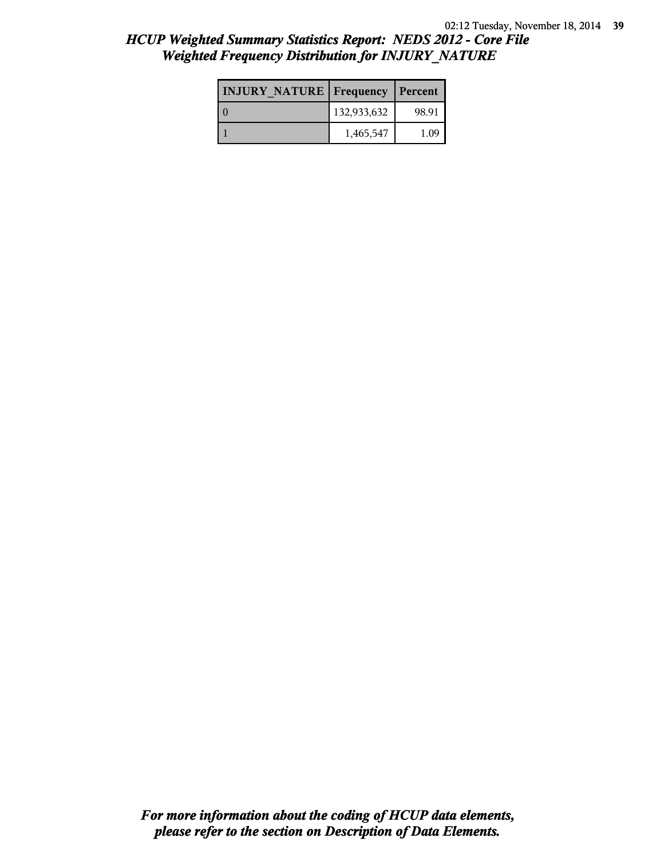| <b>INJURY NATURE Frequency</b> |             | Percent |
|--------------------------------|-------------|---------|
|                                | 132,933,632 | 98.91   |
|                                | 1,465,547   | 1.09    |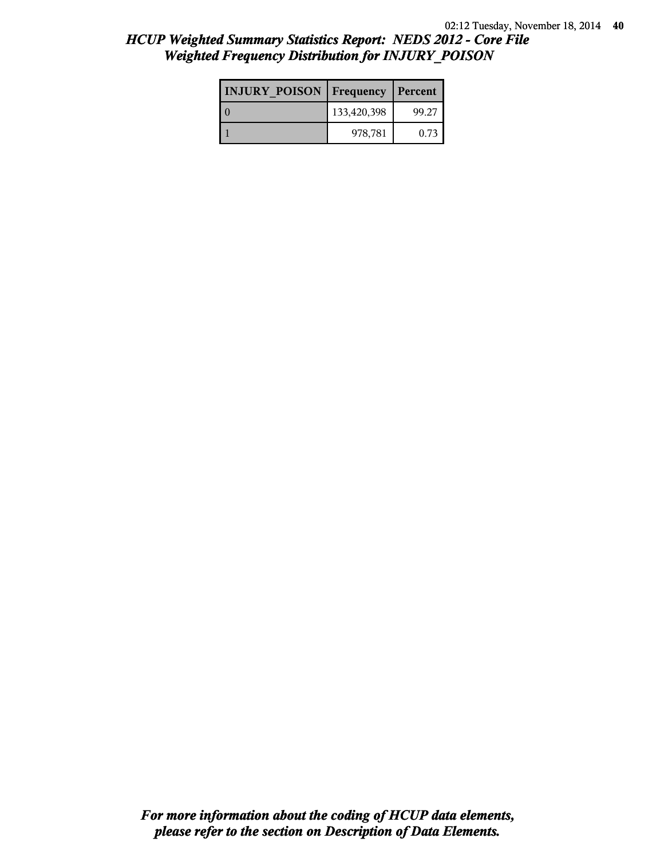| <b>INJURY POISON Frequency</b> |             | Percent |
|--------------------------------|-------------|---------|
|                                | 133,420,398 | 99.27   |
|                                | 978,781     | 0.73    |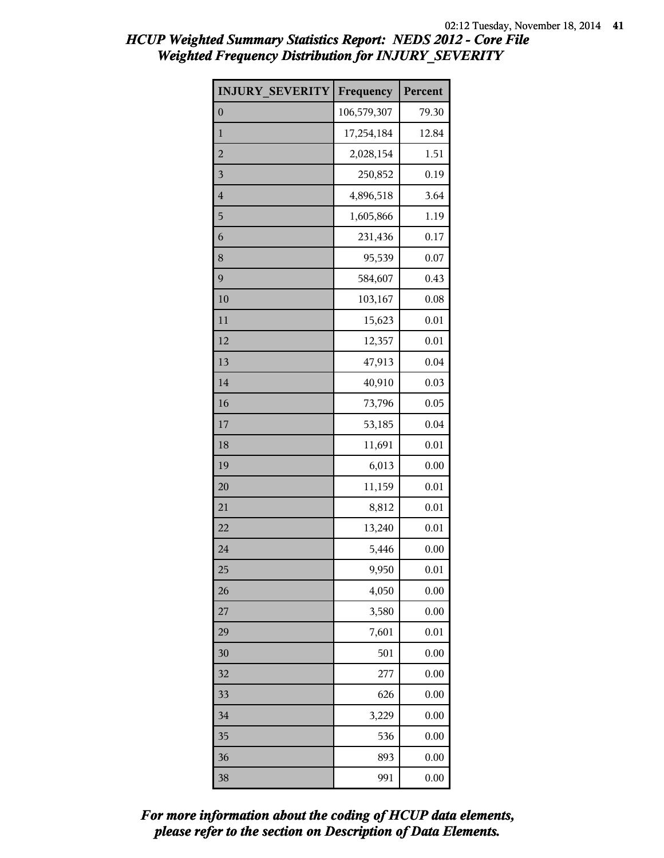| <b>INJURY SEVERITY</b> | Frequency   | Percent  |
|------------------------|-------------|----------|
| $\boldsymbol{0}$       | 106,579,307 | 79.30    |
| $\mathbf{1}$           | 17,254,184  | 12.84    |
| $\overline{c}$         | 2,028,154   | 1.51     |
| 3                      | 250,852     | 0.19     |
| $\overline{4}$         | 4,896,518   | 3.64     |
| 5                      | 1,605,866   | 1.19     |
| 6                      | 231,436     | 0.17     |
| 8                      | 95,539      | 0.07     |
| 9                      | 584,607     | 0.43     |
| 10                     | 103,167     | 0.08     |
| 11                     | 15,623      | 0.01     |
| 12                     | 12,357      | 0.01     |
| 13                     | 47,913      | 0.04     |
| 14                     | 40,910      | 0.03     |
| 16                     | 73,796      | 0.05     |
| 17                     | 53,185      | 0.04     |
| 18                     | 11,691      | 0.01     |
| 19                     | 6,013       | 0.00     |
| 20                     | 11,159      | 0.01     |
| 21                     | 8,812       | 0.01     |
| 22                     | 13,240      | 0.01     |
| 24                     | 5,446       | 0.00     |
| 25                     | 9,950       | 0.01     |
| 26                     | 4,050       | 0.00     |
| 27                     | 3,580       | 0.00     |
| 29                     | 7,601       | 0.01     |
| 30                     | 501         | 0.00     |
| 32                     | 277         | 0.00     |
| 33                     | 626         | 0.00     |
| 34                     | 3,229       | 0.00     |
| 35                     | 536         | 0.00     |
| 36                     | 893         | 0.00     |
| 38                     | 991         | $0.00\,$ |

*please refer to the section on Description of Data Elements. For more information about the coding of HCUP data elements,*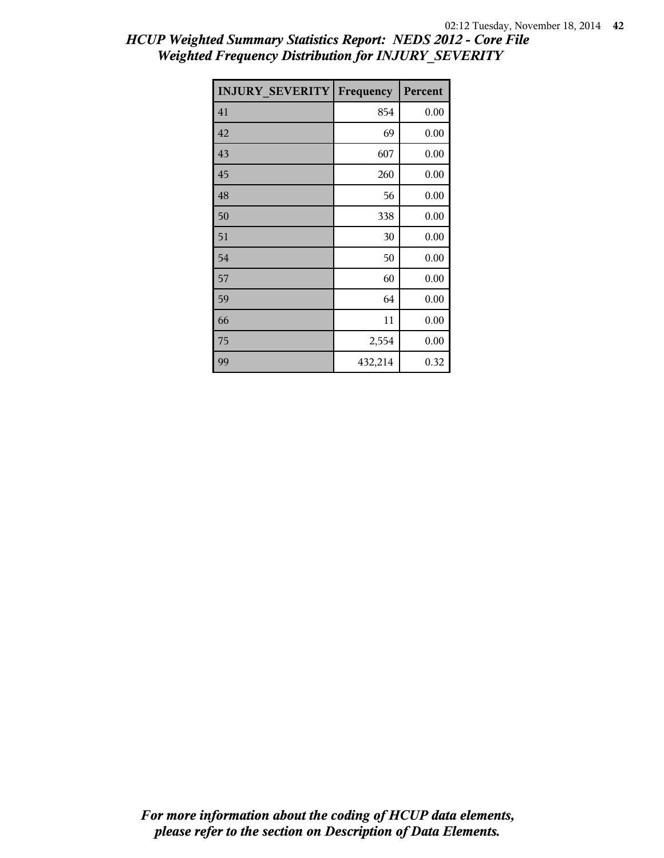| <b>INJURY SEVERITY</b> | Frequency | Percent |
|------------------------|-----------|---------|
| 41                     | 854       | 0.00    |
| 42                     | 69        | 0.00    |
| 43                     | 607       | 0.00    |
| 45                     | 260       | 0.00    |
| 48                     | 56        | 0.00    |
| 50                     | 338       | 0.00    |
| 51                     | 30        | 0.00    |
| 54                     | 50        | 0.00    |
| 57                     | 60        | 0.00    |
| 59                     | 64        | 0.00    |
| 66                     | 11        | 0.00    |
| 75                     | 2,554     | 0.00    |
| 99                     | 432,214   | 0.32    |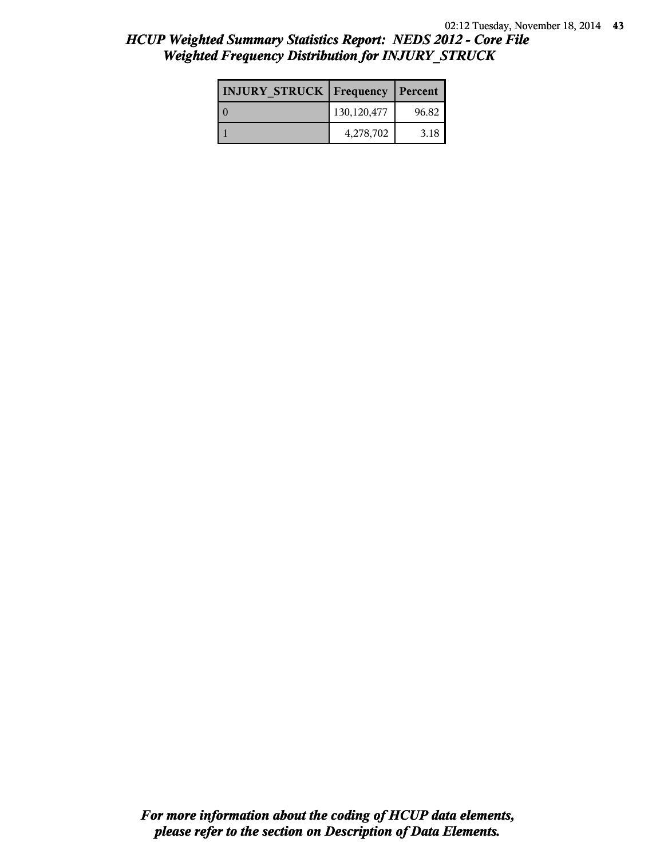| <b>INJURY STRUCK   Frequency</b> |             | Percent |
|----------------------------------|-------------|---------|
|                                  | 130,120,477 | 96.82   |
|                                  | 4,278,702   | 3.18    |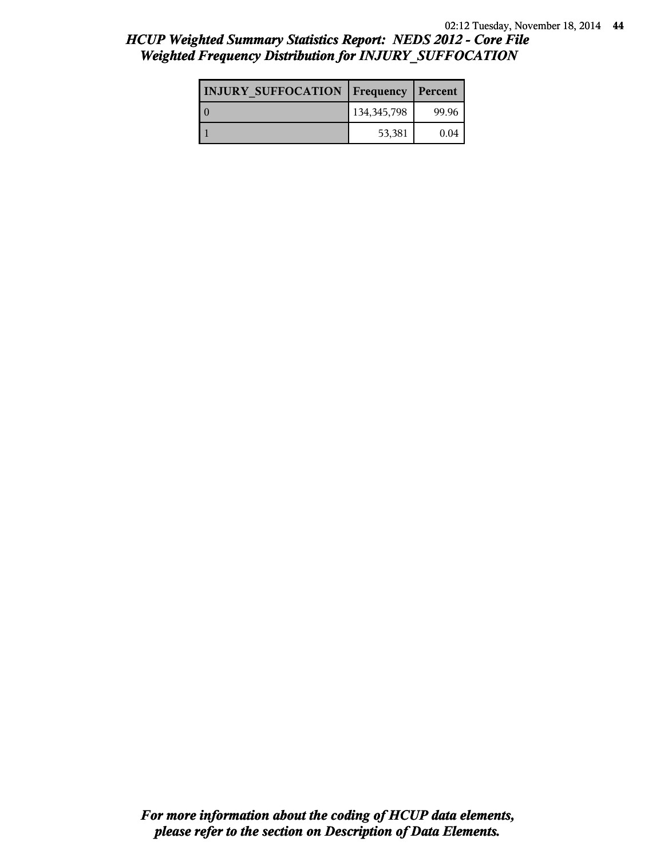| <b>INJURY SUFFOCATION   Frequency</b> |               | Percent |
|---------------------------------------|---------------|---------|
|                                       | 134, 345, 798 | 99.96   |
|                                       | 53,381        | 0.04    |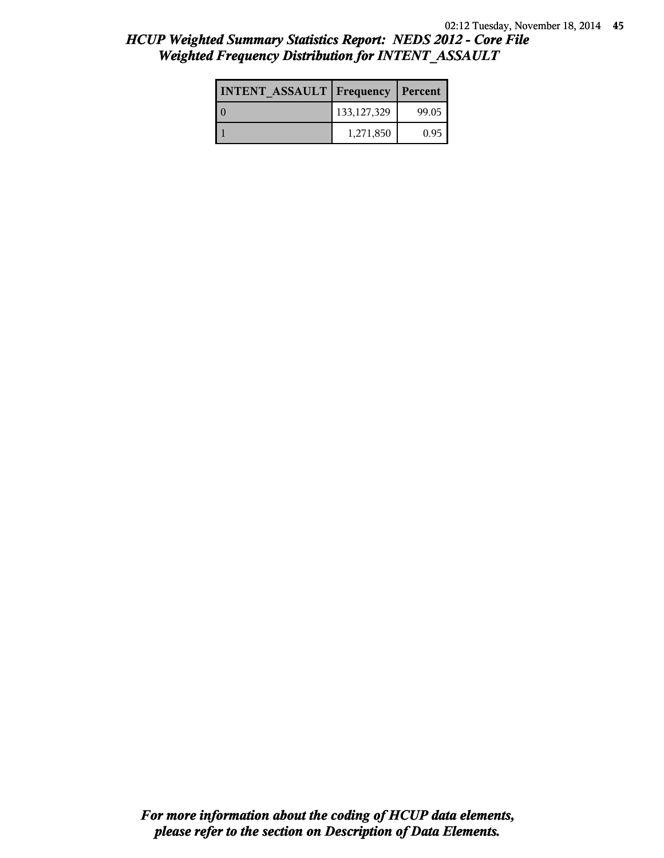| <b>INTENT ASSAULT Frequency</b> |               | Percent |
|---------------------------------|---------------|---------|
|                                 | 133, 127, 329 | 99.05   |
|                                 | 1,271,850     | 0.95    |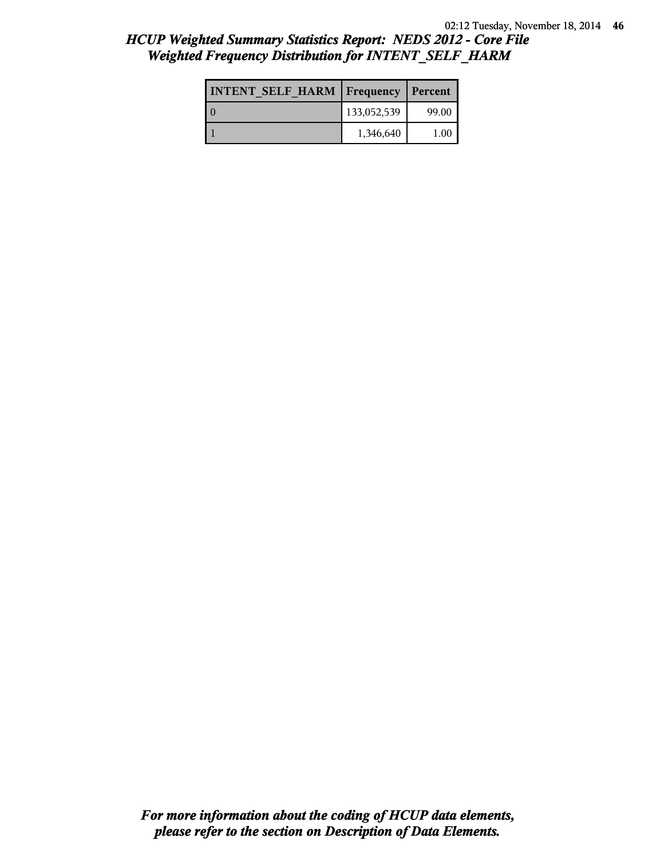| <b>INTENT SELF HARM   Frequency</b> |             | Percent |
|-------------------------------------|-------------|---------|
|                                     | 133,052,539 | 99.00   |
|                                     | 1,346,640   | 100     |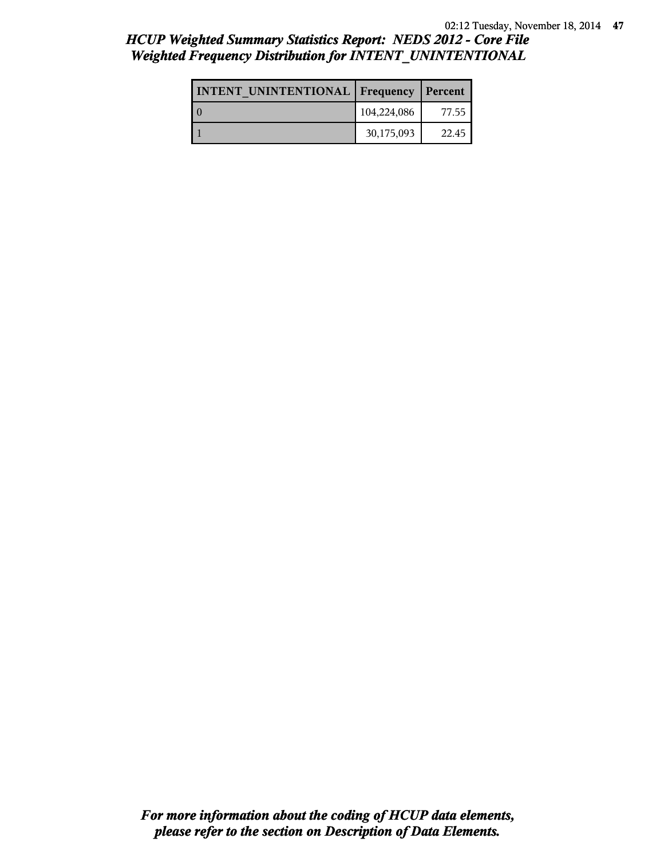# *HCUP Weighted Summary Statistics Report: NEDS 2012 - Core File Weighted Frequency Distribution for INTENT\_UNINTENTIONAL*

| INTENT UNINTENTIONAL   Frequency |             | Percent |
|----------------------------------|-------------|---------|
|                                  | 104,224,086 | 77.55   |
|                                  | 30,175,093  | 22.45   |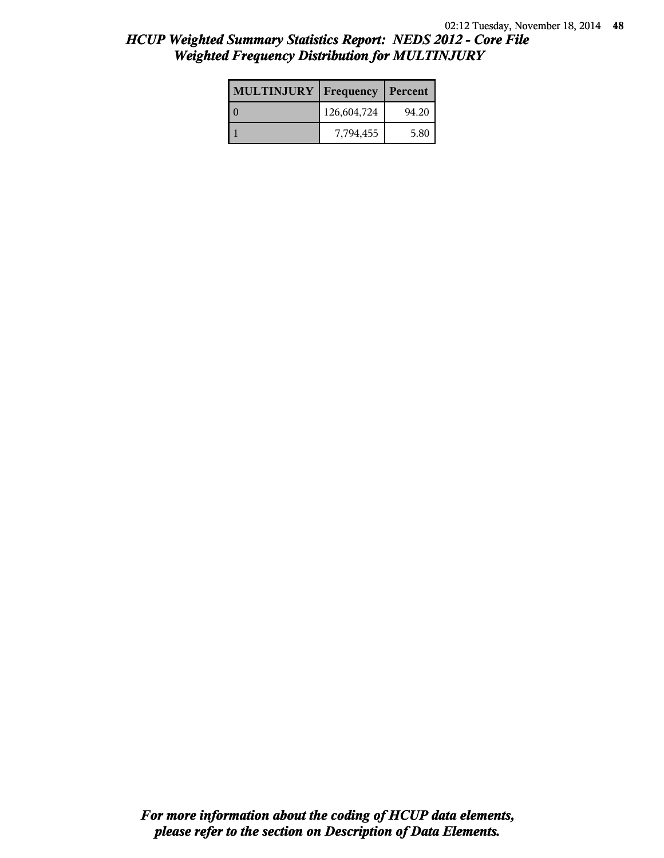| <b>MULTINJURY</b> | <b>Frequency   Percent</b> |       |
|-------------------|----------------------------|-------|
|                   | 126,604,724                | 94.20 |
|                   | 7,794,455                  | 5.80  |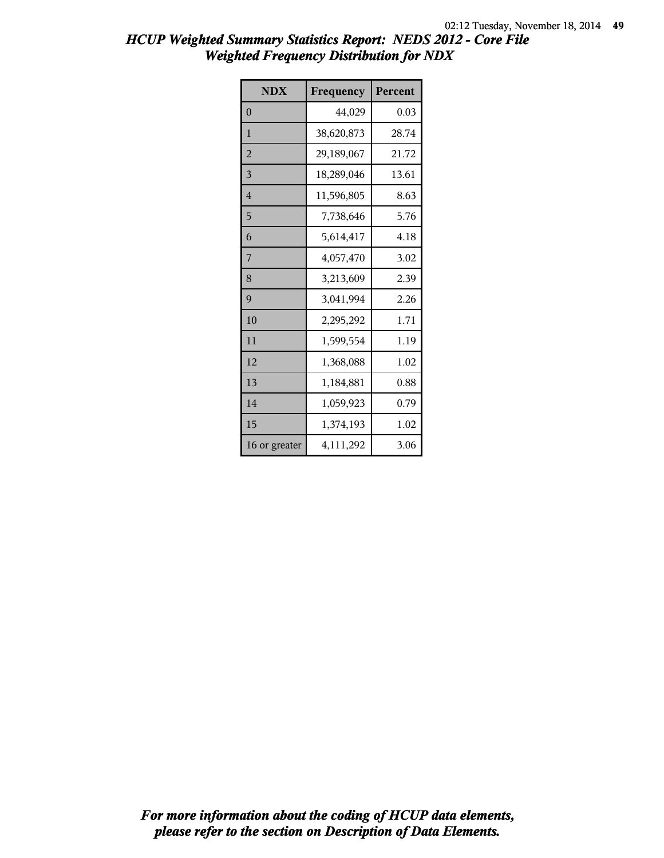| <b>NDX</b>     | Frequency  | Percent |
|----------------|------------|---------|
| $\theta$       | 44,029     | 0.03    |
| $\mathbf{1}$   | 38,620,873 | 28.74   |
| $\overline{2}$ | 29,189,067 | 21.72   |
| 3              | 18,289,046 | 13.61   |
| $\overline{4}$ | 11,596,805 | 8.63    |
| 5              | 7,738,646  | 5.76    |
| 6              | 5,614,417  | 4.18    |
| 7              | 4,057,470  | 3.02    |
| 8              | 3,213,609  | 2.39    |
| 9              | 3,041,994  | 2.26    |
| 10             | 2,295,292  | 1.71    |
| 11             | 1,599,554  | 1.19    |
| 12             | 1,368,088  | 1.02    |
| 13             | 1,184,881  | 0.88    |
| 14             | 1,059,923  | 0.79    |
| 15             | 1,374,193  | 1.02    |
| 16 or greater  | 4,111,292  | 3.06    |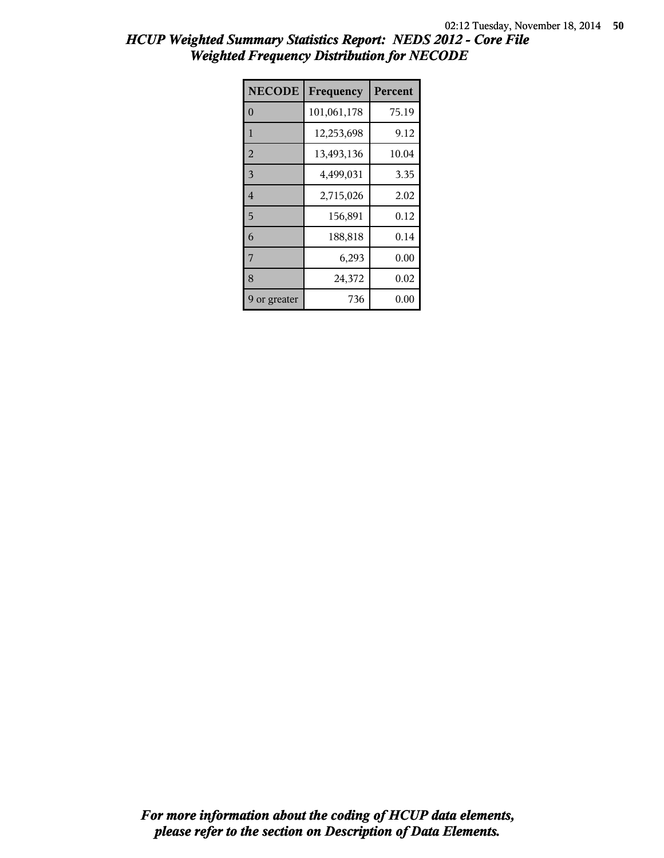| <b>NECODE</b>  | Frequency   | Percent  |
|----------------|-------------|----------|
| $\theta$       | 101,061,178 | 75.19    |
| 1              | 12,253,698  | 9.12     |
| $\overline{2}$ | 13,493,136  | 10.04    |
| 3              | 4,499,031   | 3.35     |
| $\overline{4}$ | 2,715,026   | 2.02     |
| 5              | 156,891     | 0.12     |
| 6              | 188,818     | 0.14     |
| 7              | 6,293       | 0.00     |
| 8              | 24,372      | 0.02     |
| 9 or greater   | 736         | $0.00\,$ |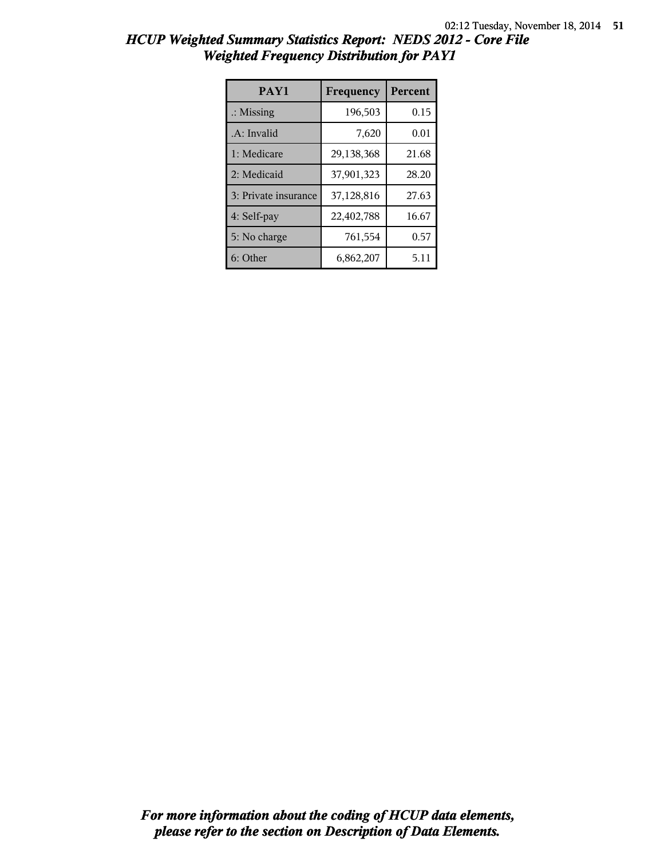| <b>HCUP Weighted Summary Statistics Report: NEDS 2012 - Core File</b> |  |
|-----------------------------------------------------------------------|--|
| <b>Weighted Frequency Distribution for PAY1</b>                       |  |

| PAY1                 | Frequency  | Percent |
|----------------------|------------|---------|
| $\therefore$ Missing | 196,503    | 0.15    |
| .A: Invalid          | 7,620      | 0.01    |
| 1: Medicare          | 29,138,368 | 21.68   |
| 2: Medicaid          | 37,901,323 | 28.20   |
| 3: Private insurance | 37,128,816 | 27.63   |
| 4: Self-pay          | 22,402,788 | 16.67   |
| 5: No charge         | 761,554    | 0.57    |
| 6: Other             | 6,862,207  | 5.11    |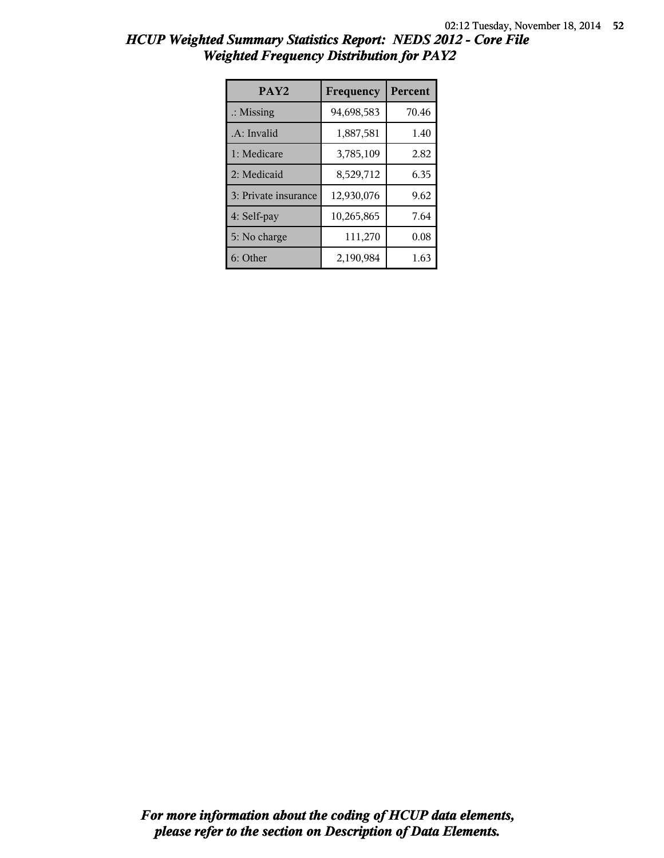| <b>HCUP Weighted Summary Statistics Report: NEDS 2012 - Core File</b> |  |
|-----------------------------------------------------------------------|--|
| <b>Weighted Frequency Distribution for PAY2</b>                       |  |

| PAY <sub>2</sub>     | Frequency  | <b>Percent</b> |
|----------------------|------------|----------------|
| $\therefore$ Missing | 94,698,583 | 70.46          |
| .A: Invalid          | 1,887,581  | 1.40           |
| 1: Medicare          | 3,785,109  | 2.82           |
| 2: Medicaid          | 8,529,712  | 6.35           |
| 3: Private insurance | 12,930,076 | 9.62           |
| 4: Self-pay          | 10,265,865 | 7.64           |
| 5: No charge         | 111,270    | 0.08           |
| 6: Other             | 2,190,984  | 1.63           |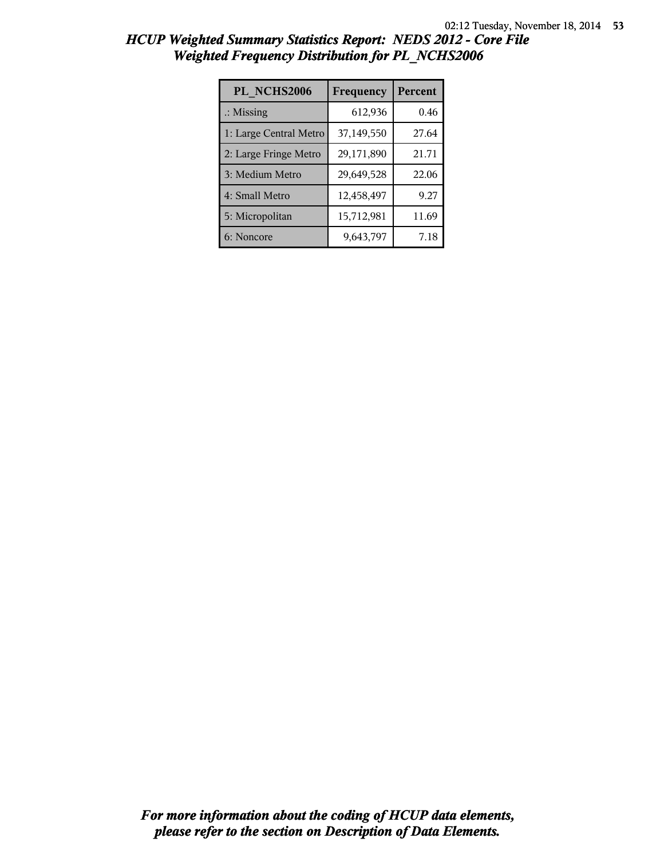| PL NCHS2006            | Frequency  | Percent |
|------------------------|------------|---------|
| $\therefore$ Missing   | 612,936    | 0.46    |
| 1: Large Central Metro | 37,149,550 | 27.64   |
| 2: Large Fringe Metro  | 29,171,890 | 21.71   |
| 3: Medium Metro        | 29,649,528 | 22.06   |
| 4: Small Metro         | 12,458,497 | 9.27    |
| 5: Micropolitan        | 15,712,981 | 11.69   |
| 6: Noncore             | 9,643,797  | 7.18    |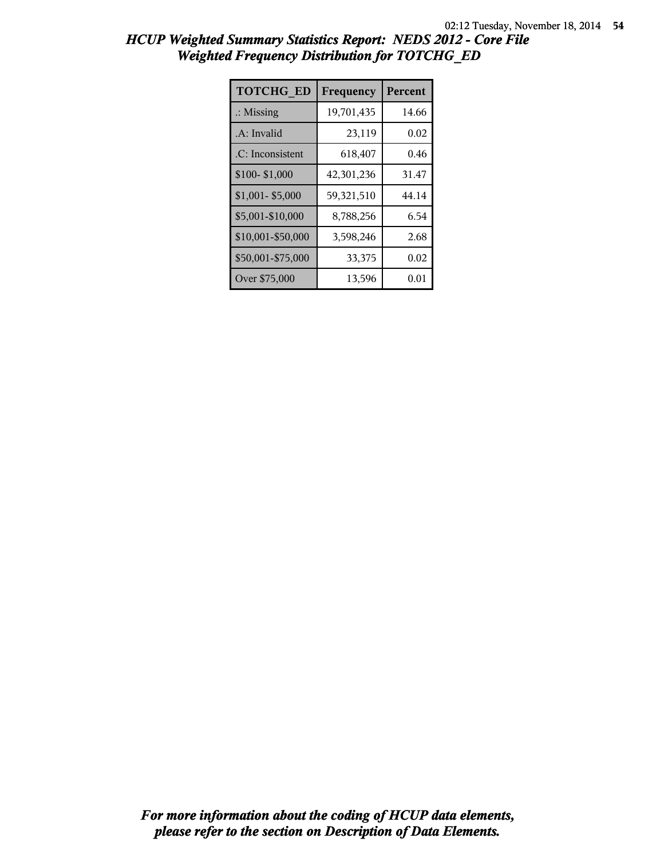| <b>TOTCHG ED</b>     | Frequency  | Percent |
|----------------------|------------|---------|
| $\therefore$ Missing | 19,701,435 | 14.66   |
| .A: Invalid          | 23,119     | 0.02    |
| .C: Inconsistent     | 618,407    | 0.46    |
| \$100-\$1,000        | 42,301,236 | 31.47   |
| $$1,001 - $5,000$    | 59,321,510 | 44.14   |
| \$5,001-\$10,000     | 8,788,256  | 6.54    |
| \$10,001-\$50,000    | 3,598,246  | 2.68    |
| \$50,001-\$75,000    | 33,375     | 0.02    |
| Over \$75,000        | 13,596     | 0.01    |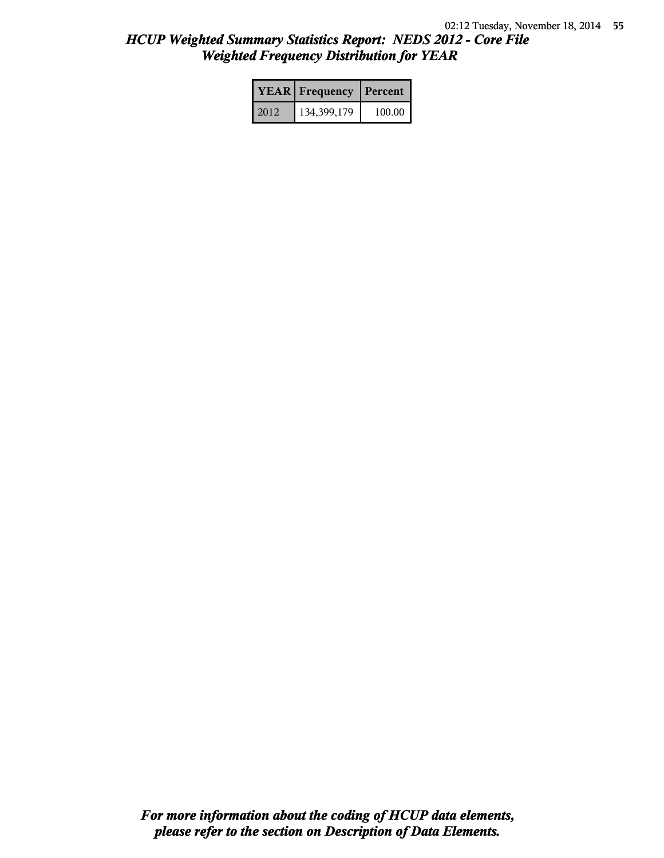|      | <b>YEAR</b> Frequency | Percent |  |
|------|-----------------------|---------|--|
| 2012 | 134,399,179           | 100.00  |  |